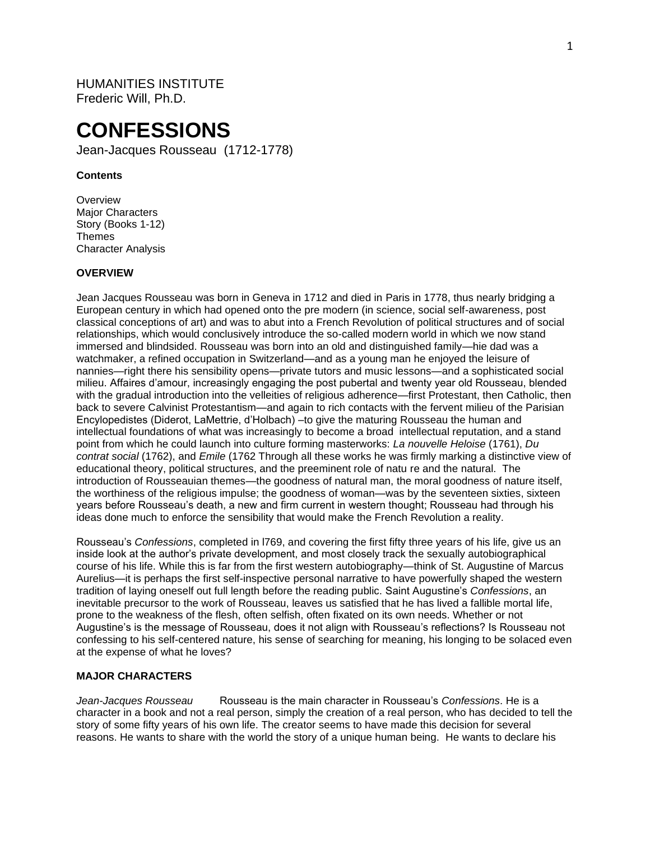HUMANITIES INSTITUTE Frederic Will, Ph.D.

# **CONFESSIONS**

Jean-Jacques Rousseau (1712-1778)

## **Contents**

**Overview** Major Characters Story (Books 1-12) Themes Character Analysis

#### **OVERVIEW**

Jean Jacques Rousseau was born in Geneva in 1712 and died in Paris in 1778, thus nearly bridging a European century in which had opened onto the pre modern (in science, social self-awareness, post classical conceptions of art) and was to abut into a French Revolution of political structures and of social relationships, which would conclusively introduce the so-called modern world in which we now stand immersed and blindsided. Rousseau was born into an old and distinguished family—hie dad was a watchmaker, a refined occupation in Switzerland—and as a young man he enjoyed the leisure of nannies—right there his sensibility opens—private tutors and music lessons—and a sophisticated social milieu. Affaires d'amour, increasingly engaging the post pubertal and twenty year old Rousseau, blended with the gradual introduction into the velleities of religious adherence—first Protestant, then Catholic, then back to severe Calvinist Protestantism—and again to rich contacts with the fervent milieu of the Parisian Encylopedistes (Diderot, LaMettrie, d'Holbach) –to give the maturing Rousseau the human and intellectual foundations of what was increasingly to become a broad intellectual reputation, and a stand point from which he could launch into culture forming masterworks: *La nouvelle Heloise* (1761), *Du contrat social* (1762), and *Emile* (1762 Through all these works he was firmly marking a distinctive view of educational theory, political structures, and the preeminent role of natu re and the natural. The introduction of Rousseauian themes—the goodness of natural man, the moral goodness of nature itself, the worthiness of the religious impulse; the goodness of woman—was by the seventeen sixties, sixteen years before Rousseau's death, a new and firm current in western thought; Rousseau had through his ideas done much to enforce the sensibility that would make the French Revolution a reality.

Rousseau's *Confessions*, completed in l769, and covering the first fifty three years of his life, give us an inside look at the author's private development, and most closely track the sexually autobiographical course of his life. While this is far from the first western autobiography—think of St. Augustine of Marcus Aurelius—it is perhaps the first self-inspective personal narrative to have powerfully shaped the western tradition of laying oneself out full length before the reading public. Saint Augustine's *Confessions*, an inevitable precursor to the work of Rousseau, leaves us satisfied that he has lived a fallible mortal life, prone to the weakness of the flesh, often selfish, often fixated on its own needs. Whether or not Augustine's is the message of Rousseau, does it not align with Rousseau's reflections? Is Rousseau not confessing to his self-centered nature, his sense of searching for meaning, his longing to be solaced even at the expense of what he loves?

#### **MAJOR CHARACTERS**

*Jean-Jacques Rousseau* Rousseau is the main character in Rousseau's *Confessions*. He is a character in a book and not a real person, simply the creation of a real person, who has decided to tell the story of some fifty years of his own life. The creator seems to have made this decision for several reasons. He wants to share with the world the story of a unique human being. He wants to declare his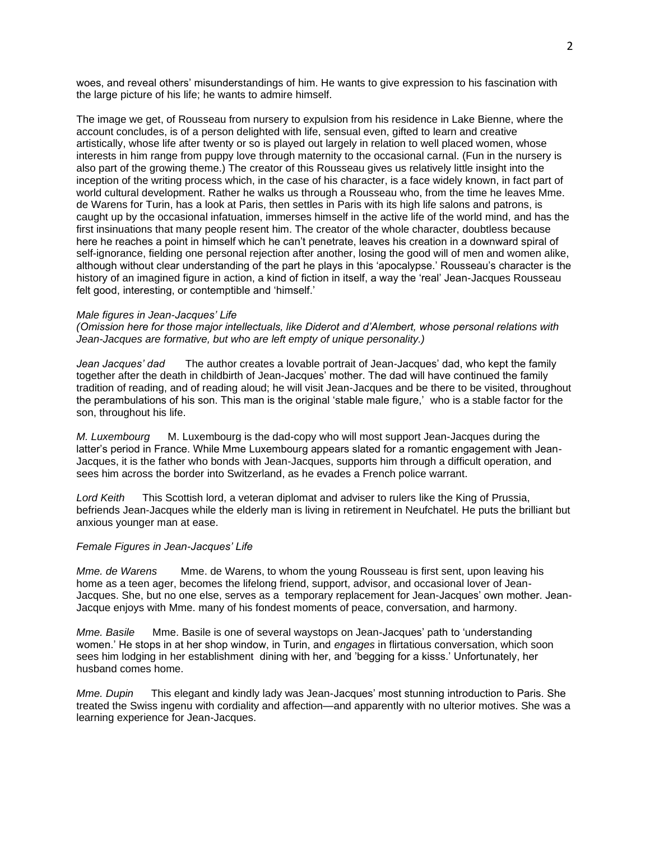woes, and reveal others' misunderstandings of him. He wants to give expression to his fascination with the large picture of his life; he wants to admire himself.

The image we get, of Rousseau from nursery to expulsion from his residence in Lake Bienne, where the account concludes, is of a person delighted with life, sensual even, gifted to learn and creative artistically, whose life after twenty or so is played out largely in relation to well placed women, whose interests in him range from puppy love through maternity to the occasional carnal. (Fun in the nursery is also part of the growing theme.) The creator of this Rousseau gives us relatively little insight into the inception of the writing process which, in the case of his character, is a face widely known, in fact part of world cultural development. Rather he walks us through a Rousseau who, from the time he leaves Mme. de Warens for Turin, has a look at Paris, then settles in Paris with its high life salons and patrons, is caught up by the occasional infatuation, immerses himself in the active life of the world mind, and has the first insinuations that many people resent him. The creator of the whole character, doubtless because here he reaches a point in himself which he can't penetrate, leaves his creation in a downward spiral of self-ignorance, fielding one personal rejection after another, losing the good will of men and women alike, although without clear understanding of the part he plays in this 'apocalypse.' Rousseau's character is the history of an imagined figure in action, a kind of fiction in itself, a way the 'real' Jean-Jacques Rousseau felt good, interesting, or contemptible and 'himself.'

#### *Male figures in Jean-Jacques' Life*

*(Omission here for those major intellectuals, like Diderot and d'Alembert, whose personal relations with Jean-Jacques are formative, but who are left empty of unique personality.)*

*Jean Jacques' dad* The author creates a lovable portrait of Jean-Jacques' dad, who kept the family together after the death in childbirth of Jean-Jacques' mother. The dad will have continued the family tradition of reading, and of reading aloud; he will visit Jean-Jacques and be there to be visited, throughout the perambulations of his son. This man is the original 'stable male figure,' who is a stable factor for the son, throughout his life.

*M. Luxembourg* M. Luxembourg is the dad-copy who will most support Jean-Jacques during the latter's period in France. While Mme Luxembourg appears slated for a romantic engagement with Jean-Jacques, it is the father who bonds with Jean-Jacques, supports him through a difficult operation, and sees him across the border into Switzerland, as he evades a French police warrant.

*Lord Keith* This Scottish lord, a veteran diplomat and adviser to rulers like the King of Prussia, befriends Jean-Jacques while the elderly man is living in retirement in Neufchatel. He puts the brilliant but anxious younger man at ease.

#### *Female Figures in Jean-Jacques' Life*

*Mme. de Warens* Mme. de Warens, to whom the young Rousseau is first sent, upon leaving his home as a teen ager, becomes the lifelong friend, support, advisor, and occasional lover of Jean-Jacques. She, but no one else, serves as a temporary replacement for Jean-Jacques' own mother. Jean-Jacque enjoys with Mme. many of his fondest moments of peace, conversation, and harmony.

*Mme. Basile* Mme. Basile is one of several waystops on Jean-Jacques' path to 'understanding women.' He stops in at her shop window, in Turin, and *engages* in flirtatious conversation, which soon sees him lodging in her establishment dining with her, and 'begging for a kisss.' Unfortunately, her husband comes home.

*Mme. Dupin* This elegant and kindly lady was Jean-Jacques' most stunning introduction to Paris. She treated the Swiss ingenu with cordiality and affection—and apparently with no ulterior motives. She was a learning experience for Jean-Jacques.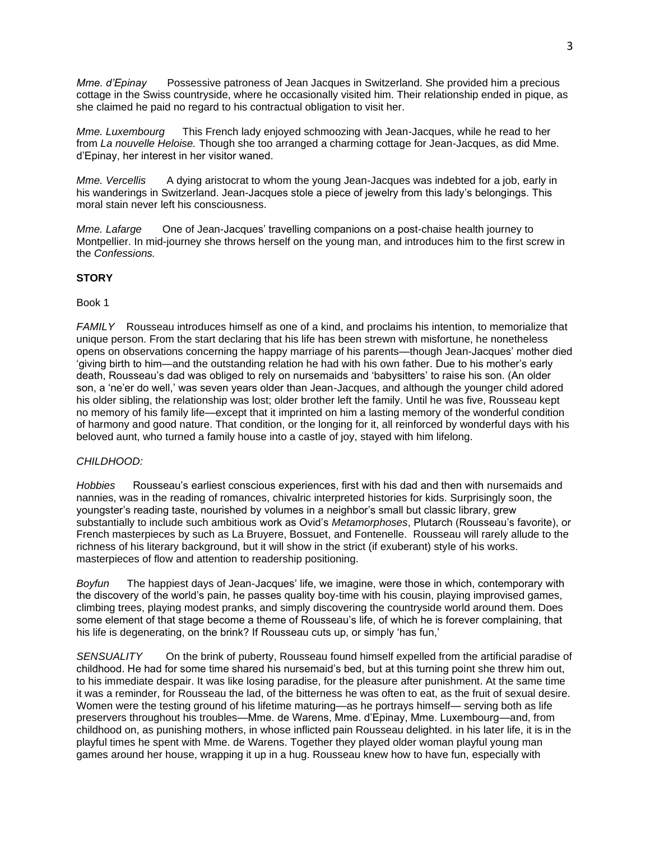*Mme. d'Epinay* Possessive patroness of Jean Jacques in Switzerland. She provided him a precious cottage in the Swiss countryside, where he occasionally visited him. Their relationship ended in pique, as she claimed he paid no regard to his contractual obligation to visit her.

*Mme. Luxembourg* This French lady enjoyed schmoozing with Jean-Jacques, while he read to her from *La nouvelle Heloise.* Though she too arranged a charming cottage for Jean-Jacques, as did Mme. d'Epinay, her interest in her visitor waned.

*Mme. Vercellis* A dying aristocrat to whom the young Jean-Jacques was indebted for a job, early in his wanderings in Switzerland. Jean-Jacques stole a piece of jewelry from this lady's belongings. This moral stain never left his consciousness.

*Mme. Lafarge* One of Jean-Jacques' travelling companions on a post-chaise health journey to Montpellier. In mid-journey she throws herself on the young man, and introduces him to the first screw in the *Confessions.*

# **STORY**

## Book 1

*FAMILY* Rousseau introduces himself as one of a kind, and proclaims his intention, to memorialize that unique person. From the start declaring that his life has been strewn with misfortune, he nonetheless opens on observations concerning the happy marriage of his parents—though Jean-Jacques' mother died 'giving birth to him—and the outstanding relation he had with his own father. Due to his mother's early death, Rousseau's dad was obliged to rely on nursemaids and 'babysitters' to raise his son. (An older son, a 'ne'er do well,' was seven years older than Jean-Jacques, and although the younger child adored his older sibling, the relationship was lost; older brother left the family. Until he was five, Rousseau kept no memory of his family life—except that it imprinted on him a lasting memory of the wonderful condition of harmony and good nature. That condition, or the longing for it, all reinforced by wonderful days with his beloved aunt, who turned a family house into a castle of joy, stayed with him lifelong.

# *CHILDHOOD:*

*Hobbies* Rousseau's earliest conscious experiences, first with his dad and then with nursemaids and nannies, was in the reading of romances, chivalric interpreted histories for kids. Surprisingly soon, the youngster's reading taste, nourished by volumes in a neighbor's small but classic library, grew substantially to include such ambitious work as Ovid's *Metamorphoses*, Plutarch (Rousseau's favorite), or French masterpieces by such as La Bruyere, Bossuet, and Fontenelle. Rousseau will rarely allude to the richness of his literary background, but it will show in the strict (if exuberant) style of his works. masterpieces of flow and attention to readership positioning.

*Boyfun* The happiest days of Jean-Jacques' life, we imagine, were those in which, contemporary with the discovery of the world's pain, he passes quality boy-time with his cousin, playing improvised games, climbing trees, playing modest pranks, and simply discovering the countryside world around them. Does some element of that stage become a theme of Rousseau's life, of which he is forever complaining, that his life is degenerating, on the brink? If Rousseau cuts up, or simply 'has fun,'

*SENSUALITY* On the brink of puberty, Rousseau found himself expelled from the artificial paradise of childhood. He had for some time shared his nursemaid's bed, but at this turning point she threw him out, to his immediate despair. It was like losing paradise, for the pleasure after punishment. At the same time it was a reminder, for Rousseau the lad, of the bitterness he was often to eat, as the fruit of sexual desire. Women were the testing ground of his lifetime maturing—as he portrays himself— serving both as life preservers throughout his troubles—Mme. de Warens, Mme. d'Epinay, Mme. Luxembourg—and, from childhood on, as punishing mothers, in whose inflicted pain Rousseau delighted. in his later life, it is in the playful times he spent with Mme. de Warens. Together they played older woman playful young man games around her house, wrapping it up in a hug. Rousseau knew how to have fun, especially with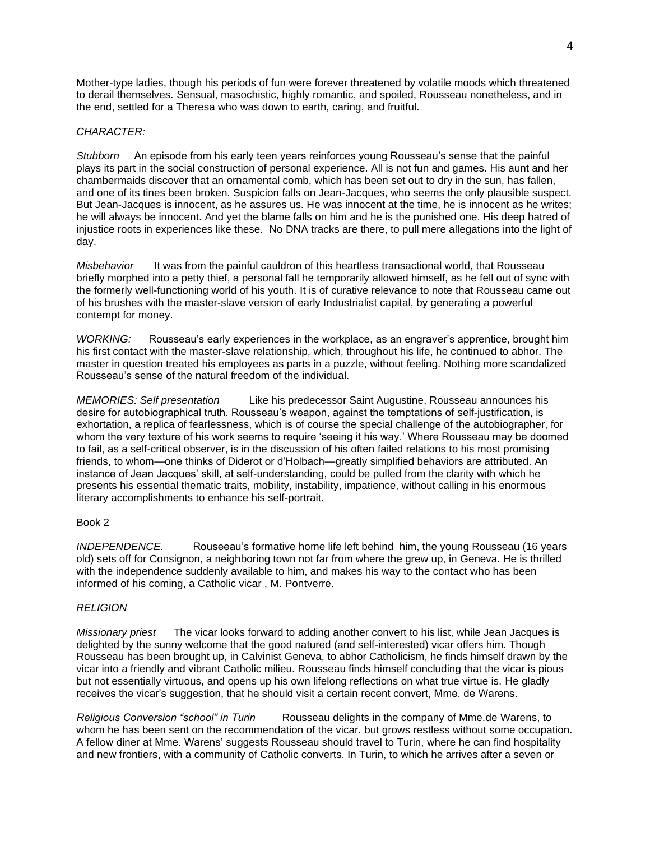Mother-type ladies, though his periods of fun were forever threatened by volatile moods which threatened to derail themselves. Sensual, masochistic, highly romantic, and spoiled, Rousseau nonetheless, and in the end, settled for a Theresa who was down to earth, caring, and fruitful.

## *CHARACTER:*

*Stubborn* An episode from his early teen years reinforces young Rousseau's sense that the painful plays its part in the social construction of personal experience. All is not fun and games. His aunt and her chambermaids discover that an ornamental comb, which has been set out to dry in the sun, has fallen, and one of its tines been broken. Suspicion falls on Jean-Jacques, who seems the only plausible suspect. But Jean-Jacques is innocent, as he assures us. He was innocent at the time, he is innocent as he writes; he will always be innocent. And yet the blame falls on him and he is the punished one. His deep hatred of injustice roots in experiences like these. No DNA tracks are there, to pull mere allegations into the light of day.

*Misbehavior* It was from the painful cauldron of this heartless transactional world, that Rousseau briefly morphed into a petty thief, a personal fall he temporarily allowed himself, as he fell out of sync with the formerly well-functioning world of his youth. It is of curative relevance to note that Rousseau came out of his brushes with the master-slave version of early Industrialist capital, by generating a powerful contempt for money.

*WORKING:* Rousseau's early experiences in the workplace, as an engraver's apprentice, brought him his first contact with the master-slave relationship, which, throughout his life, he continued to abhor. The master in question treated his employees as parts in a puzzle, without feeling. Nothing more scandalized Rousseau's sense of the natural freedom of the individual.

*MEMORIES: Self presentation* Like his predecessor Saint Augustine, Rousseau announces his desire for autobiographical truth. Rousseau's weapon, against the temptations of self-justification, is exhortation, a replica of fearlessness, which is of course the special challenge of the autobiographer, for whom the very texture of his work seems to require 'seeing it his way.' Where Rousseau may be doomed to fail, as a self-critical observer, is in the discussion of his often failed relations to his most promising friends, to whom—one thinks of Diderot or d'Holbach—greatly simplified behaviors are attributed. An instance of Jean Jacques' skill, at self-understanding, could be pulled from the clarity with which he presents his essential thematic traits, mobility, instability, impatience, without calling in his enormous literary accomplishments to enhance his self-portrait.

#### Book 2

*INDEPENDENCE.* Rouseeau's formative home life left behind him, the young Rousseau (16 years old) sets off for Consignon, a neighboring town not far from where the grew up, in Geneva. He is thrilled with the independence suddenly available to him, and makes his way to the contact who has been informed of his coming, a Catholic vicar , M. Pontverre.

#### *RELIGION*

*Missionary priest* The vicar looks forward to adding another convert to his list, while Jean Jacques is delighted by the sunny welcome that the good natured (and self-interested) vicar offers him. Though Rousseau has been brought up, in Calvinist Geneva, to abhor Catholicism, he finds himself drawn by the vicar into a friendly and vibrant Catholic milieu. Rousseau finds himself concluding that the vicar is pious but not essentially virtuous, and opens up his own lifelong reflections on what true virtue is. He gladly receives the vicar's suggestion, that he should visit a certain recent convert, Mme. de Warens.

*Religious Conversion "school" in Turin* Rousseau delights in the company of Mme.de Warens, to whom he has been sent on the recommendation of the vicar. but grows restless without some occupation. A fellow diner at Mme. Warens' suggests Rousseau should travel to Turin, where he can find hospitality and new frontiers, with a community of Catholic converts. In Turin, to which he arrives after a seven or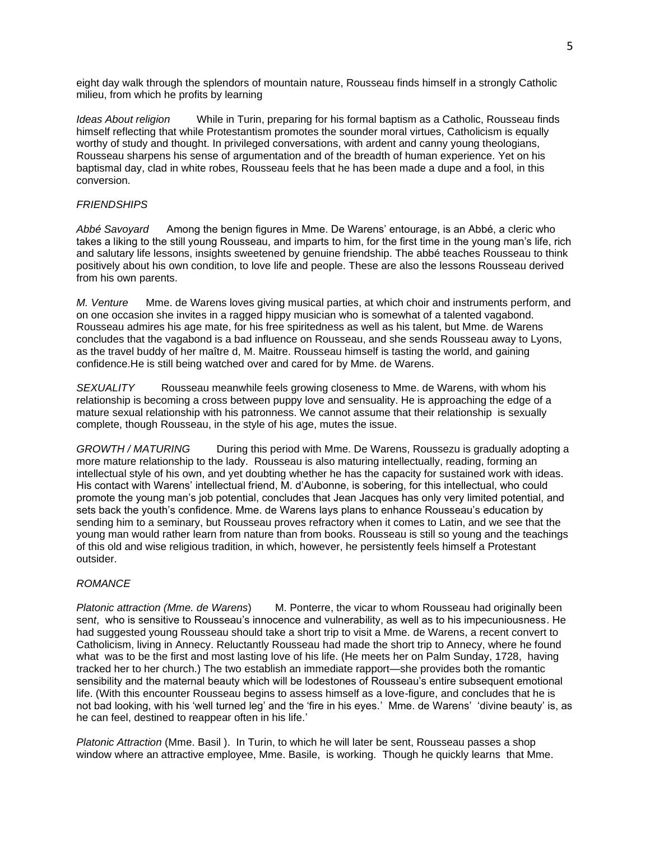eight day walk through the splendors of mountain nature, Rousseau finds himself in a strongly Catholic milieu, from which he profits by learning

*Ideas About religion* While in Turin, preparing for his formal baptism as a Catholic, Rousseau finds himself reflecting that while Protestantism promotes the sounder moral virtues, Catholicism is equally worthy of study and thought. In privileged conversations, with ardent and canny young theologians, Rousseau sharpens his sense of argumentation and of the breadth of human experience. Yet on his baptismal day, clad in white robes, Rousseau feels that he has been made a dupe and a fool, in this conversion.

## *FRIENDSHIPS*

*Abbé Savoyard* Among the benign figures in Mme. De Warens' entourage, is an Abbé, a cleric who takes a liking to the still young Rousseau, and imparts to him, for the first time in the young man's life, rich and salutary life lessons, insights sweetened by genuine friendship. The abbé teaches Rousseau to think positively about his own condition, to love life and people. These are also the lessons Rousseau derived from his own parents.

*M. Venture* Mme. de Warens loves giving musical parties, at which choir and instruments perform, and on one occasion she invites in a ragged hippy musician who is somewhat of a talented vagabond. Rousseau admires his age mate, for his free spiritedness as well as his talent, but Mme. de Warens concludes that the vagabond is a bad influence on Rousseau, and she sends Rousseau away to Lyons, as the travel buddy of her maître d, M. Maitre. Rousseau himself is tasting the world, and gaining confidence.He is still being watched over and cared for by Mme. de Warens.

*SEXUALITY* Rousseau meanwhile feels growing closeness to Mme. de Warens, with whom his relationship is becoming a cross between puppy love and sensuality. He is approaching the edge of a mature sexual relationship with his patronness. We cannot assume that their relationship is sexually complete, though Rousseau, in the style of his age, mutes the issue.

*GROWTH / MATURING* During this period with Mme. De Warens, Roussezu is gradually adopting a more mature relationship to the lady. Rousseau is also maturing intellectually, reading, forming an intellectual style of his own, and yet doubting whether he has the capacity for sustained work with ideas. His contact with Warens' intellectual friend, M. d'Aubonne, is sobering, for this intellectual, who could promote the young man's job potential, concludes that Jean Jacques has only very limited potential, and sets back the youth's confidence. Mme. de Warens lays plans to enhance Rousseau's education by sending him to a seminary, but Rousseau proves refractory when it comes to Latin, and we see that the young man would rather learn from nature than from books. Rousseau is still so young and the teachings of this old and wise religious tradition, in which, however, he persistently feels himself a Protestant outsider.

## *ROMANCE*

*Platonic attraction (Mme. de Warens*) M. Ponterre, the vicar to whom Rousseau had originally been sen*t*, who is sensitive to Rousseau's innocence and vulnerability, as well as to his impecuniousness. He had suggested young Rousseau should take a short trip to visit a Mme. de Warens, a recent convert to Catholicism, living in Annecy. Reluctantly Rousseau had made the short trip to Annecy, where he found what was to be the first and most lasting love of his life. (He meets her on Palm Sunday, 1728, having tracked her to her church.) The two establish an immediate rapport—she provides both the romantic sensibility and the maternal beauty which will be lodestones of Rousseau's entire subsequent emotional life. (With this encounter Rousseau begins to assess himself as a love-figure, and concludes that he is not bad looking, with his 'well turned leg' and the 'fire in his eyes.' Mme. de Warens' 'divine beauty' is, as he can feel, destined to reappear often in his life.'

*Platonic Attraction* (Mme. Basil ). In Turin, to which he will later be sent, Rousseau passes a shop window where an attractive employee, Mme. Basile, is working. Though he quickly learns that Mme.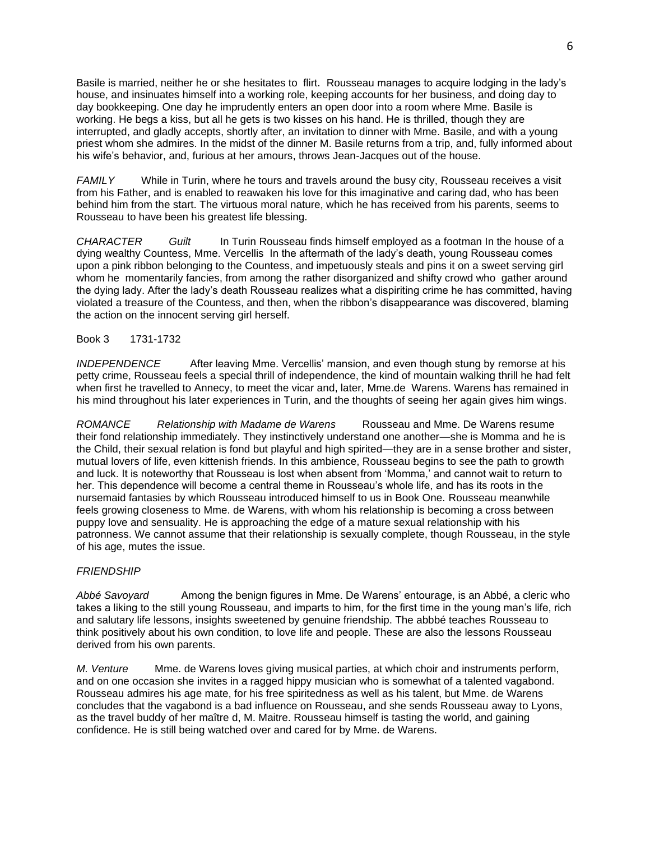Basile is married, neither he or she hesitates to flirt. Rousseau manages to acquire lodging in the lady's house, and insinuates himself into a working role, keeping accounts for her business, and doing day to day bookkeeping. One day he imprudently enters an open door into a room where Mme. Basile is working. He begs a kiss, but all he gets is two kisses on his hand. He is thrilled, though they are interrupted, and gladly accepts, shortly after, an invitation to dinner with Mme. Basile, and with a young priest whom she admires. In the midst of the dinner M. Basile returns from a trip, and, fully informed about his wife's behavior, and, furious at her amours, throws Jean-Jacques out of the house.

*FAMILY* While in Turin, where he tours and travels around the busy city, Rousseau receives a visit from his Father, and is enabled to reawaken his love for this imaginative and caring dad, who has been behind him from the start. The virtuous moral nature, which he has received from his parents, seems to Rousseau to have been his greatest life blessing.

*CHARACTER Guilt* In Turin Rousseau finds himself employed as a footman In the house of a dying wealthy Countess, Mme. Vercellis In the aftermath of the lady's death, young Rousseau comes upon a pink ribbon belonging to the Countess, and impetuously steals and pins it on a sweet serving girl whom he momentarily fancies, from among the rather disorganized and shifty crowd who gather around the dying lady. After the lady's death Rousseau realizes what a dispiriting crime he has committed, having violated a treasure of the Countess, and then, when the ribbon's disappearance was discovered, blaming the action on the innocent serving girl herself.

## Book 3 1731-1732

*INDEPENDENCE* After leaving Mme. Vercellis' mansion, and even though stung by remorse at his petty crime, Rousseau feels a special thrill of independence, the kind of mountain walking thrill he had felt when first he travelled to Annecy, to meet the vicar and, later, Mme.de Warens. Warens has remained in his mind throughout his later experiences in Turin, and the thoughts of seeing her again gives him wings.

*ROMANCE Relationship with Madame de Warens* Rousseau and Mme. De Warens resume their fond relationship immediately. They instinctively understand one another—she is Momma and he is the Child, their sexual relation is fond but playful and high spirited—they are in a sense brother and sister, mutual lovers of life, even kittenish friends. In this ambience, Rousseau begins to see the path to growth and luck. It is noteworthy that Rousseau is lost when absent from 'Momma,' and cannot wait to return to her. This dependence will become a central theme in Rousseau's whole life, and has its roots in the nursemaid fantasies by which Rousseau introduced himself to us in Book One. Rousseau meanwhile feels growing closeness to Mme. de Warens, with whom his relationship is becoming a cross between puppy love and sensuality. He is approaching the edge of a mature sexual relationship with his patronness. We cannot assume that their relationship is sexually complete, though Rousseau, in the style of his age, mutes the issue.

#### *FRIENDSHIP*

*Abbé Savoyard* Among the benign figures in Mme. De Warens' entourage, is an Abbé, a cleric who takes a liking to the still young Rousseau, and imparts to him, for the first time in the young man's life, rich and salutary life lessons, insights sweetened by genuine friendship. The abbbé teaches Rousseau to think positively about his own condition, to love life and people. These are also the lessons Rousseau derived from his own parents.

*M. Venture* Mme. de Warens loves giving musical parties, at which choir and instruments perform, and on one occasion she invites in a ragged hippy musician who is somewhat of a talented vagabond. Rousseau admires his age mate, for his free spiritedness as well as his talent, but Mme. de Warens concludes that the vagabond is a bad influence on Rousseau, and she sends Rousseau away to Lyons, as the travel buddy of her maître d, M. Maitre. Rousseau himself is tasting the world, and gaining confidence. He is still being watched over and cared for by Mme. de Warens.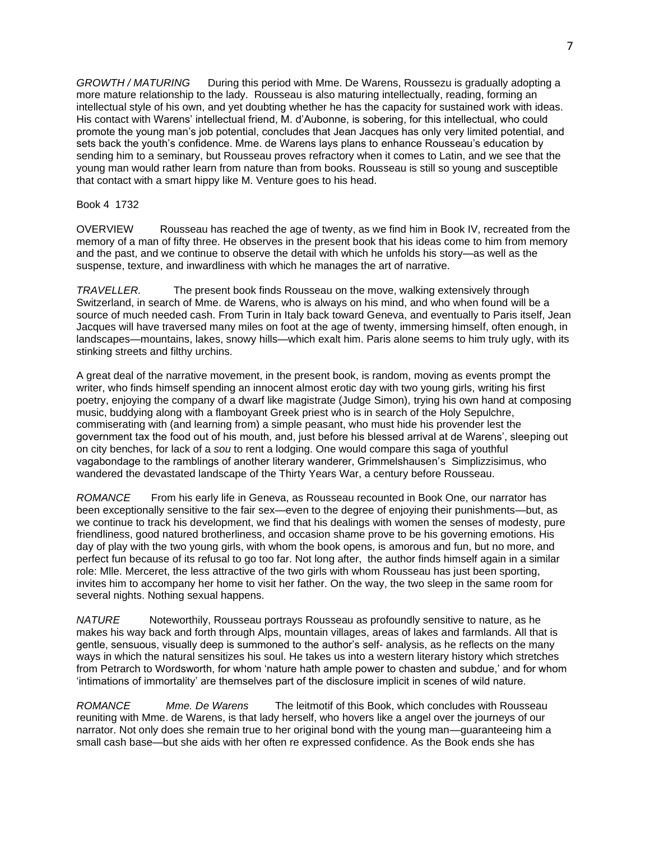*GROWTH / MATURING* During this period with Mme. De Warens, Roussezu is gradually adopting a more mature relationship to the lady. Rousseau is also maturing intellectually, reading, forming an intellectual style of his own, and yet doubting whether he has the capacity for sustained work with ideas. His contact with Warens' intellectual friend, M. d'Aubonne, is sobering, for this intellectual, who could promote the young man's job potential, concludes that Jean Jacques has only very limited potential, and sets back the youth's confidence. Mme. de Warens lays plans to enhance Rousseau's education by sending him to a seminary, but Rousseau proves refractory when it comes to Latin, and we see that the young man would rather learn from nature than from books. Rousseau is still so young and susceptible that contact with a smart hippy like M. Venture goes to his head.

## Book 4 1732

OVERVIEW Rousseau has reached the age of twenty, as we find him in Book IV, recreated from the memory of a man of fifty three. He observes in the present book that his ideas come to him from memory and the past, and we continue to observe the detail with which he unfolds his story—as well as the suspense, texture, and inwardliness with which he manages the art of narrative.

*TRAVELLER.* The present book finds Rousseau on the move, walking extensively through Switzerland, in search of Mme. de Warens, who is always on his mind, and who when found will be a source of much needed cash. From Turin in Italy back toward Geneva, and eventually to Paris itself, Jean Jacques will have traversed many miles on foot at the age of twenty, immersing himself, often enough, in landscapes—mountains, lakes, snowy hills—which exalt him. Paris alone seems to him truly ugly, with its stinking streets and filthy urchins.

A great deal of the narrative movement, in the present book, is random, moving as events prompt the writer, who finds himself spending an innocent almost erotic day with two young girls, writing his first poetry, enjoying the company of a dwarf like magistrate (Judge Simon), trying his own hand at composing music, buddying along with a flamboyant Greek priest who is in search of the Holy Sepulchre, commiserating with (and learning from) a simple peasant, who must hide his provender lest the government tax the food out of his mouth, and, just before his blessed arrival at de Warens', sleeping out on city benches, for lack of a *sou* to rent a lodging. One would compare this saga of youthful vagabondage to the ramblings of another literary wanderer, Grimmelshausen's Simplizzisimus, who wandered the devastated landscape of the Thirty Years War, a century before Rousseau.

*ROMANCE* From his early life in Geneva, as Rousseau recounted in Book One, our narrator has been exceptionally sensitive to the fair sex—even to the degree of enjoying their punishments—but, as we continue to track his development, we find that his dealings with women the senses of modesty, pure friendliness, good natured brotherliness, and occasion shame prove to be his governing emotions. His day of play with the two young girls, with whom the book opens, is amorous and fun, but no more, and perfect fun because of its refusal to go too far. Not long after, the author finds himself again in a similar role: Mlle. Merceret, the less attractive of the two girls with whom Rousseau has just been sporting, invites him to accompany her home to visit her father. On the way, the two sleep in the same room for several nights. Nothing sexual happens.

*NATURE* Noteworthily, Rousseau portrays Rousseau as profoundly sensitive to nature, as he makes his way back and forth through Alps, mountain villages, areas of lakes and farmlands. All that is gentle, sensuous, visually deep is summoned to the author's self- analysis, as he reflects on the many ways in which the natural sensitizes his soul. He takes us into a western literary history which stretches from Petrarch to Wordsworth, for whom 'nature hath ample power to chasten and subdue,' and for whom 'intimations of immortality' are themselves part of the disclosure implicit in scenes of wild nature.

*ROMANCE Mme. De Warens* The leitmotif of this Book, which concludes with Rousseau reuniting with Mme. de Warens, is that lady herself, who hovers like a angel over the journeys of our narrator. Not only does she remain true to her original bond with the young man—guaranteeing him a small cash base—but she aids with her often re expressed confidence. As the Book ends she has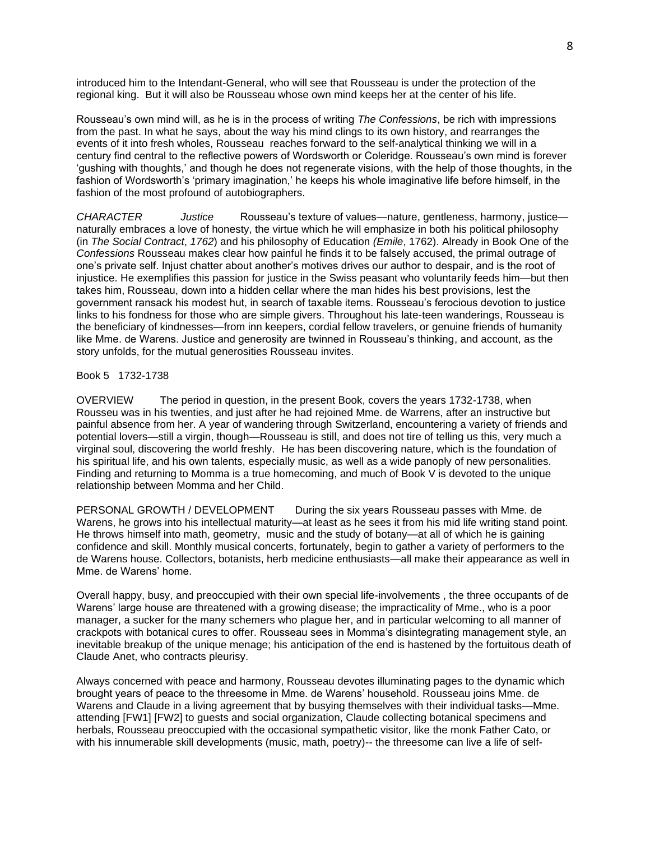introduced him to the Intendant-General, who will see that Rousseau is under the protection of the regional king. But it will also be Rousseau whose own mind keeps her at the center of his life.

Rousseau's own mind will, as he is in the process of writing *The Confessions*, be rich with impressions from the past. In what he says, about the way his mind clings to its own history, and rearranges the events of it into fresh wholes, Rousseau reaches forward to the self-analytical thinking we will in a century find central to the reflective powers of Wordsworth or Coleridge. Rousseau's own mind is forever 'gushing with thoughts,' and though he does not regenerate visions, with the help of those thoughts, in the fashion of Wordsworth's 'primary imagination,' he keeps his whole imaginative life before himself, in the fashion of the most profound of autobiographers.

*CHARACTER Justice* Rousseau's texture of values—nature, gentleness, harmony, justice naturally embraces a love of honesty, the virtue which he will emphasize in both his political philosophy (in *The Social Contract*, *1762*) and his philosophy of Education *(Emile*, 1762). Already in Book One of the *Confessions* Rousseau makes clear how painful he finds it to be falsely accused, the primal outrage of one's private self. Injust chatter about another's motives drives our author to despair, and is the root of injustice. He exemplifies this passion for justice in the Swiss peasant who voluntarily feeds him—but then takes him, Rousseau, down into a hidden cellar where the man hides his best provisions, lest the government ransack his modest hut, in search of taxable items. Rousseau's ferocious devotion to justice links to his fondness for those who are simple givers. Throughout his late-teen wanderings, Rousseau is the beneficiary of kindnesses—from inn keepers, cordial fellow travelers, or genuine friends of humanity like Mme. de Warens. Justice and generosity are twinned in Rousseau's thinking, and account, as the story unfolds, for the mutual generosities Rousseau invites.

## Book 5 1732-1738

OVERVIEW The period in question, in the present Book, covers the years 1732-1738, when Rousseu was in his twenties, and just after he had rejoined Mme. de Warrens, after an instructive but painful absence from her. A year of wandering through Switzerland, encountering a variety of friends and potential lovers—still a virgin, though—Rousseau is still, and does not tire of telling us this, very much a virginal soul, discovering the world freshly. He has been discovering nature, which is the foundation of his spiritual life, and his own talents, especially music, as well as a wide panoply of new personalities. Finding and returning to Momma is a true homecoming, and much of Book V is devoted to the unique relationship between Momma and her Child.

PERSONAL GROWTH / DEVELOPMENT During the six years Rousseau passes with Mme. de Warens, he grows into his intellectual maturity—at least as he sees it from his mid life writing stand point. He throws himself into math, geometry, music and the study of botany—at all of which he is gaining confidence and skill. Monthly musical concerts, fortunately, begin to gather a variety of performers to the de Warens house. Collectors, botanists, herb medicine enthusiasts—all make their appearance as well in Mme. de Warens' home.

Overall happy, busy, and preoccupied with their own special life-involvements , the three occupants of de Warens' large house are threatened with a growing disease; the impracticality of Mme., who is a poor manager, a sucker for the many schemers who plague her, and in particular welcoming to all manner of crackpots with botanical cures to offer. Rousseau sees in Momma's disintegrating management style, an inevitable breakup of the unique menage; his anticipation of the end is hastened by the fortuitous death of Claude Anet, who contracts pleurisy.

Always concerned with peace and harmony, Rousseau devotes illuminating pages to the dynamic which brought years of peace to the threesome in Mme. de Warens' household. Rousseau joins Mme. de Warens and Claude in a living agreement that by busying themselves with their individual tasks—Mme. attending [FW1] [FW2] to guests and social organization, Claude collecting botanical specimens and herbals, Rousseau preoccupied with the occasional sympathetic visitor, like the monk Father Cato, or with his innumerable skill developments (music, math, poetry)-- the threesome can live a life of self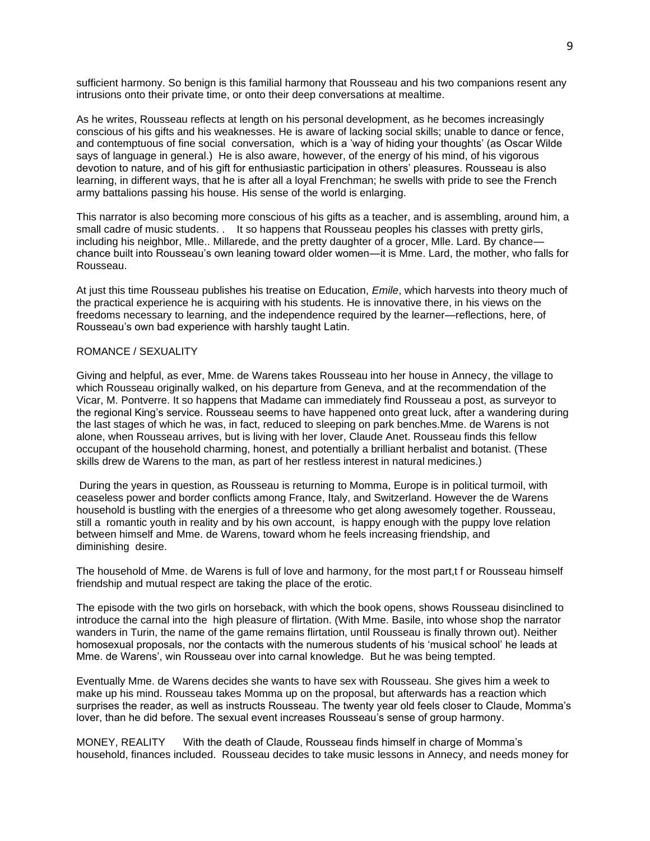sufficient harmony. So benign is this familial harmony that Rousseau and his two companions resent any intrusions onto their private time, or onto their deep conversations at mealtime.

As he writes, Rousseau reflects at length on his personal development, as he becomes increasingly conscious of his gifts and his weaknesses. He is aware of lacking social skills; unable to dance or fence, and contemptuous of fine social conversation, which is a 'way of hiding your thoughts' (as Oscar Wilde says of language in general.) He is also aware, however, of the energy of his mind, of his vigorous devotion to nature, and of his gift for enthusiastic participation in others' pleasures. Rousseau is also learning, in different ways, that he is after all a loyal Frenchman; he swells with pride to see the French army battalions passing his house. His sense of the world is enlarging.

This narrator is also becoming more conscious of his gifts as a teacher, and is assembling, around him, a small cadre of music students. . It so happens that Rousseau peoples his classes with pretty girls, including his neighbor, Mlle.. Millarede, and the pretty daughter of a grocer, Mlle. Lard. By chance chance built into Rousseau's own leaning toward older women—it is Mme. Lard, the mother, who falls for Rousseau.

At just this time Rousseau publishes his treatise on Education, *Emile*, which harvests into theory much of the practical experience he is acquiring with his students. He is innovative there, in his views on the freedoms necessary to learning, and the independence required by the learner—reflections, here, of Rousseau's own bad experience with harshly taught Latin.

# ROMANCE / SEXUALITY

Giving and helpful, as ever, Mme. de Warens takes Rousseau into her house in Annecy, the village to which Rousseau originally walked, on his departure from Geneva, and at the recommendation of the Vicar, M. Pontverre. It so happens that Madame can immediately find Rousseau a post, as surveyor to the regional King's service. Rousseau seems to have happened onto great luck, after a wandering during the last stages of which he was, in fact, reduced to sleeping on park benches.Mme. de Warens is not alone, when Rousseau arrives, but is living with her lover, Claude Anet. Rousseau finds this fellow occupant of the household charming, honest, and potentially a brilliant herbalist and botanist. (These skills drew de Warens to the man, as part of her restless interest in natural medicines.)

During the years in question, as Rousseau is returning to Momma, Europe is in political turmoil, with ceaseless power and border conflicts among France, Italy, and Switzerland. However the de Warens household is bustling with the energies of a threesome who get along awesomely together. Rousseau, still a romantic youth in reality and by his own account, is happy enough with the puppy love relation between himself and Mme. de Warens, toward whom he feels increasing friendship, and diminishing desire.

The household of Mme. de Warens is full of love and harmony, for the most part,t f or Rousseau himself friendship and mutual respect are taking the place of the erotic.

The episode with the two girls on horseback, with which the book opens, shows Rousseau disinclined to introduce the carnal into the high pleasure of flirtation. (With Mme. Basile, into whose shop the narrator wanders in Turin, the name of the game remains flirtation, until Rousseau is finally thrown out). Neither homosexual proposals, nor the contacts with the numerous students of his 'musical school' he leads at Mme. de Warens', win Rousseau over into carnal knowledge. But he was being tempted.

Eventually Mme. de Warens decides she wants to have sex with Rousseau. She gives him a week to make up his mind. Rousseau takes Momma up on the proposal, but afterwards has a reaction which surprises the reader, as well as instructs Rousseau. The twenty year old feels closer to Claude, Momma's lover, than he did before. The sexual event increases Rousseau's sense of group harmony.

MONEY, REALITY With the death of Claude, Rousseau finds himself in charge of Momma's household, finances included. Rousseau decides to take music lessons in Annecy, and needs money for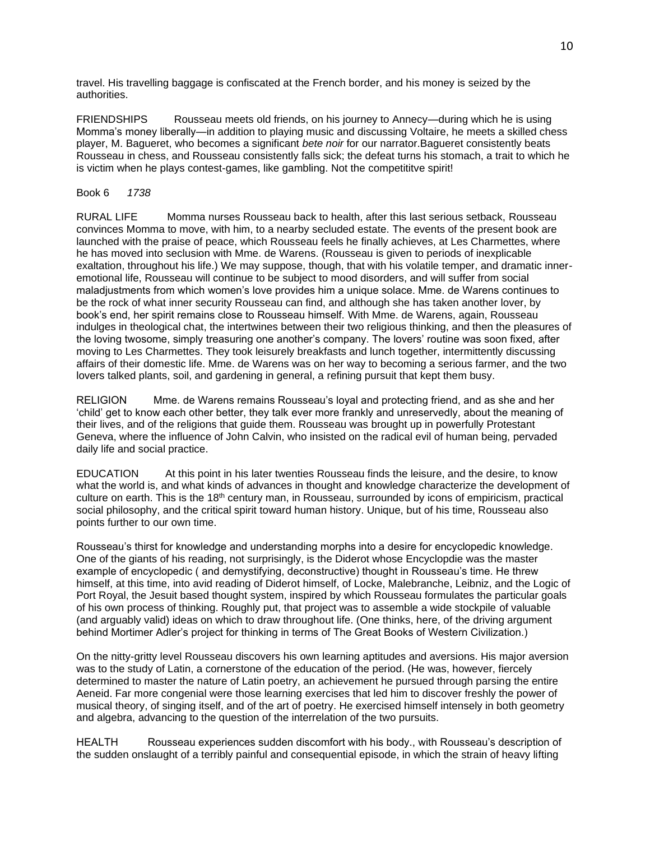travel. His travelling baggage is confiscated at the French border, and his money is seized by the authorities.

FRIENDSHIPS Rousseau meets old friends, on his journey to Annecy—during which he is using Momma's money liberally—in addition to playing music and discussing Voltaire, he meets a skilled chess player, M. Bagueret, who becomes a significant *bete noir* for our narrator.Bagueret consistently beats Rousseau in chess, and Rousseau consistently falls sick; the defeat turns his stomach, a trait to which he is victim when he plays contest-games, like gambling. Not the competititve spirit!

## Book 6 *1738*

RURAL LIFE Momma nurses Rousseau back to health, after this last serious setback, Rousseau convinces Momma to move, with him, to a nearby secluded estate. The events of the present book are launched with the praise of peace, which Rousseau feels he finally achieves, at Les Charmettes, where he has moved into seclusion with Mme. de Warens. (Rousseau is given to periods of inexplicable exaltation, throughout his life.) We may suppose, though, that with his volatile temper, and dramatic inneremotional life, Rousseau will continue to be subject to mood disorders, and will suffer from social maladjustments from which women's love provides him a unique solace. Mme. de Warens continues to be the rock of what inner security Rousseau can find, and although she has taken another lover, by book's end, her spirit remains close to Rousseau himself. With Mme. de Warens, again, Rousseau indulges in theological chat, the intertwines between their two religious thinking, and then the pleasures of the loving twosome, simply treasuring one another's company. The lovers' routine was soon fixed, after moving to Les Charmettes. They took leisurely breakfasts and lunch together, intermittently discussing affairs of their domestic life. Mme. de Warens was on her way to becoming a serious farmer, and the two lovers talked plants, soil, and gardening in general, a refining pursuit that kept them busy.

RELIGION Mme. de Warens remains Rousseau's loyal and protecting friend, and as she and her 'child' get to know each other better, they talk ever more frankly and unreservedly, about the meaning of their lives, and of the religions that guide them. Rousseau was brought up in powerfully Protestant Geneva, where the influence of John Calvin, who insisted on the radical evil of human being, pervaded daily life and social practice.

EDUCATION At this point in his later twenties Rousseau finds the leisure, and the desire, to know what the world is, and what kinds of advances in thought and knowledge characterize the development of culture on earth. This is the 18<sup>th</sup> century man, in Rousseau, surrounded by icons of empiricism, practical social philosophy, and the critical spirit toward human history. Unique, but of his time, Rousseau also points further to our own time.

Rousseau's thirst for knowledge and understanding morphs into a desire for encyclopedic knowledge. One of the giants of his reading, not surprisingly, is the Diderot whose Encyclopdie was the master example of encyclopedic ( and demystifying, deconstructive) thought in Rousseau's time. He threw himself, at this time, into avid reading of Diderot himself, of Locke, Malebranche, Leibniz, and the Logic of Port Royal, the Jesuit based thought system, inspired by which Rousseau formulates the particular goals of his own process of thinking. Roughly put, that project was to assemble a wide stockpile of valuable (and arguably valid) ideas on which to draw throughout life. (One thinks, here, of the driving argument behind Mortimer Adler's project for thinking in terms of The Great Books of Western Civilization.)

On the nitty-gritty level Rousseau discovers his own learning aptitudes and aversions. His major aversion was to the study of Latin, a cornerstone of the education of the period. (He was, however, fiercely determined to master the nature of Latin poetry, an achievement he pursued through parsing the entire Aeneid. Far more congenial were those learning exercises that led him to discover freshly the power of musical theory, of singing itself, and of the art of poetry. He exercised himself intensely in both geometry and algebra, advancing to the question of the interrelation of the two pursuits.

HEALTH Rousseau experiences sudden discomfort with his body., with Rousseau's description of the sudden onslaught of a terribly painful and consequential episode, in which the strain of heavy lifting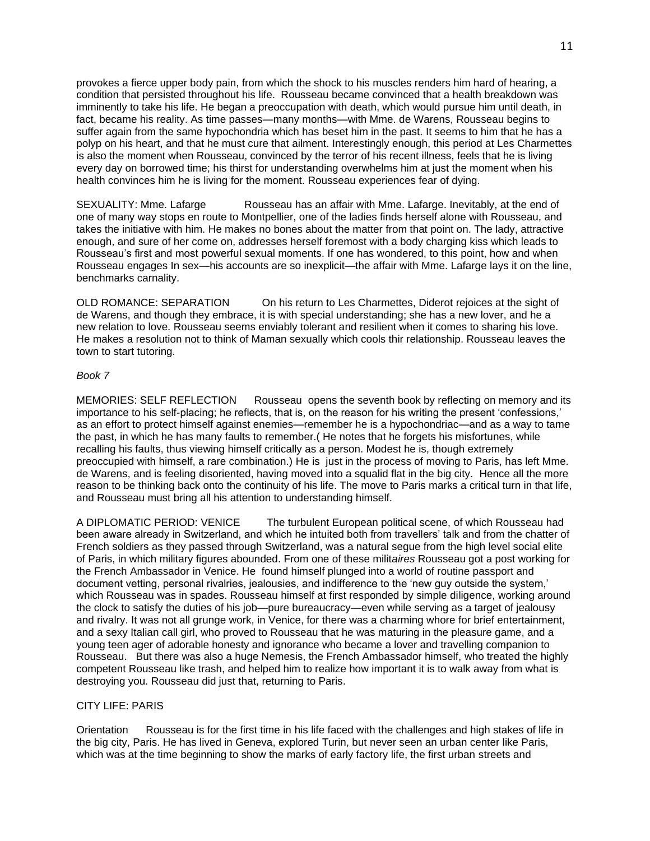provokes a fierce upper body pain, from which the shock to his muscles renders him hard of hearing, a condition that persisted throughout his life. Rousseau became convinced that a health breakdown was imminently to take his life. He began a preoccupation with death, which would pursue him until death, in fact, became his reality. As time passes—many months—with Mme. de Warens, Rousseau begins to suffer again from the same hypochondria which has beset him in the past. It seems to him that he has a polyp on his heart, and that he must cure that ailment. Interestingly enough, this period at Les Charmettes is also the moment when Rousseau, convinced by the terror of his recent illness, feels that he is living every day on borrowed time; his thirst for understanding overwhelms him at just the moment when his health convinces him he is living for the moment. Rousseau experiences fear of dying.

SEXUALITY: Mme. Lafarge Rousseau has an affair with Mme. Lafarge. Inevitably, at the end of one of many way stops en route to Montpellier, one of the ladies finds herself alone with Rousseau, and takes the initiative with him. He makes no bones about the matter from that point on. The lady, attractive enough, and sure of her come on, addresses herself foremost with a body charging kiss which leads to Rousseau's first and most powerful sexual moments. If one has wondered, to this point, how and when Rousseau engages In sex—his accounts are so inexplicit—the affair with Mme. Lafarge lays it on the line, benchmarks carnality.

OLD ROMANCE: SEPARATION On his return to Les Charmettes, Diderot rejoices at the sight of de Warens, and though they embrace, it is with special understanding; she has a new lover, and he a new relation to love. Rousseau seems enviably tolerant and resilient when it comes to sharing his love. He makes a resolution not to think of Maman sexually which cools thir relationship. Rousseau leaves the town to start tutoring.

#### *Book 7*

MEMORIES: SELF REFLECTION Rousseau opens the seventh book by reflecting on memory and its importance to his self-placing; he reflects, that is, on the reason for his writing the present 'confessions,' as an effort to protect himself against enemies—remember he is a hypochondriac—and as a way to tame the past, in which he has many faults to remember.( He notes that he forgets his misfortunes, while recalling his faults, thus viewing himself critically as a person. Modest he is, though extremely preoccupied with himself, a rare combination.) He is just in the process of moving to Paris, has left Mme. de Warens, and is feeling disoriented, having moved into a squalid flat in the big city. Hence all the more reason to be thinking back onto the continuity of his life. The move to Paris marks a critical turn in that life, and Rousseau must bring all his attention to understanding himself.

A DIPLOMATIC PERIOD: VENICE The turbulent European political scene, of which Rousseau had been aware already in Switzerland, and which he intuited both from travellers' talk and from the chatter of French soldiers as they passed through Switzerland, was a natural segue from the high level social elite of Paris, in which military figures abounded. From one of these milit*aires* Rousseau got a post working for the French Ambassador in Venice. He found himself plunged into a world of routine passport and document vetting, personal rivalries, jealousies, and indifference to the 'new guy outside the system,' which Rousseau was in spades. Rousseau himself at first responded by simple diligence, working around the clock to satisfy the duties of his job—pure bureaucracy—even while serving as a target of jealousy and rivalry. It was not all grunge work, in Venice, for there was a charming whore for brief entertainment, and a sexy Italian call girl, who proved to Rousseau that he was maturing in the pleasure game, and a young teen ager of adorable honesty and ignorance who became a lover and travelling companion to Rousseau. But there was also a huge Nemesis, the French Ambassador himself, who treated the highly competent Rousseau like trash, and helped him to realize how important it is to walk away from what is destroying you. Rousseau did just that, returning to Paris.

#### CITY LIFE: PARIS

Orientation Rousseau is for the first time in his life faced with the challenges and high stakes of life in the big city, Paris. He has lived in Geneva, explored Turin, but never seen an urban center like Paris, which was at the time beginning to show the marks of early factory life, the first urban streets and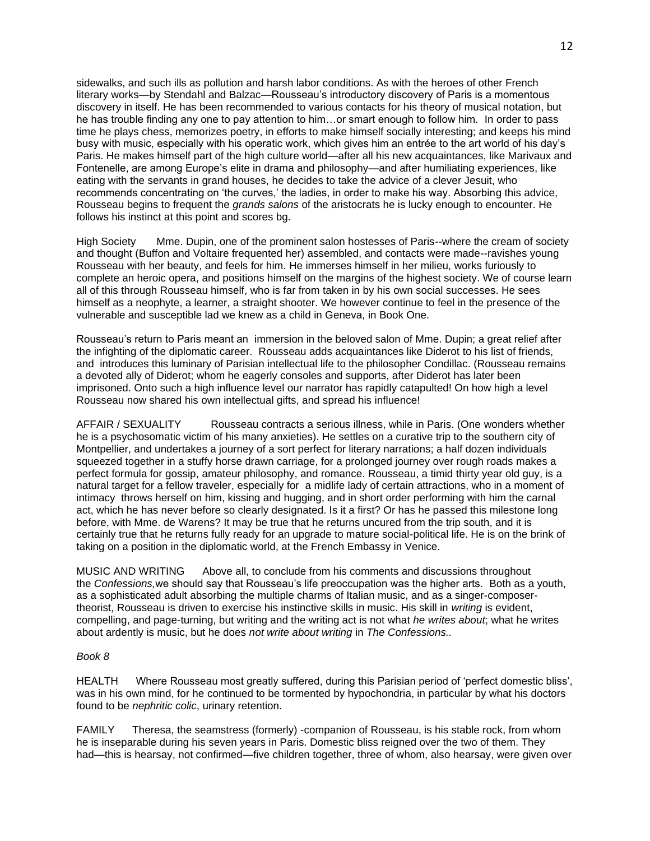sidewalks, and such ills as pollution and harsh labor conditions. As with the heroes of other French literary works—by Stendahl and Balzac—Rousseau's introductory discovery of Paris is a momentous discovery in itself. He has been recommended to various contacts for his theory of musical notation, but he has trouble finding any one to pay attention to him…or smart enough to follow him. In order to pass time he plays chess, memorizes poetry, in efforts to make himself socially interesting; and keeps his mind busy with music, especially with his operatic work, which gives him an entrée to the art world of his day's Paris. He makes himself part of the high culture world—after all his new acquaintances, like Marivaux and Fontenelle, are among Europe's elite in drama and philosophy—and after humiliating experiences, like eating with the servants in grand houses, he decides to take the advice of a clever Jesuit, who recommends concentrating on 'the curves,' the ladies, in order to make his way. Absorbing this advice, Rousseau begins to frequent the *grands salons* of the aristocrats he is lucky enough to encounter. He follows his instinct at this point and scores bg.

High Society Mme. Dupin, one of the prominent salon hostesses of Paris--where the cream of society and thought (Buffon and Voltaire frequented her) assembled, and contacts were made--ravishes young Rousseau with her beauty, and feels for him. He immerses himself in her milieu, works furiously to complete an heroic opera, and positions himself on the margins of the highest society. We of course learn all of this through Rousseau himself, who is far from taken in by his own social successes. He sees himself as a neophyte, a learner, a straight shooter. We however continue to feel in the presence of the vulnerable and susceptible lad we knew as a child in Geneva, in Book One.

Rousseau's return to Paris meant an immersion in the beloved salon of Mme. Dupin; a great relief after the infighting of the diplomatic career. Rousseau adds acquaintances like Diderot to his list of friends, and introduces this luminary of Parisian intellectual life to the philosopher Condillac. (Rousseau remains a devoted ally of Diderot; whom he eagerly consoles and supports, after Diderot has later been imprisoned. Onto such a high influence level our narrator has rapidly catapulted! On how high a level Rousseau now shared his own intellectual gifts, and spread his influence!

AFFAIR / SEXUALITY Rousseau contracts a serious illness, while in Paris. (One wonders whether he is a psychosomatic victim of his many anxieties). He settles on a curative trip to the southern city of Montpellier, and undertakes a journey of a sort perfect for literary narrations; a half dozen individuals squeezed together in a stuffy horse drawn carriage, for a prolonged journey over rough roads makes a perfect formula for gossip, amateur philosophy, and romance. Rousseau, a timid thirty year old guy, is a natural target for a fellow traveler, especially for a midlife lady of certain attractions, who in a moment of intimacy throws herself on him, kissing and hugging, and in short order performing with him the carnal act, which he has never before so clearly designated. Is it a first? Or has he passed this milestone long before, with Mme. de Warens? It may be true that he returns uncured from the trip south, and it is certainly true that he returns fully ready for an upgrade to mature social-political life. He is on the brink of taking on a position in the diplomatic world, at the French Embassy in Venice.

MUSIC AND WRITING Above all, to conclude from his comments and discussions throughout the *Confessions,*we should say that Rousseau's life preoccupation was the higher arts. Both as a youth, as a sophisticated adult absorbing the multiple charms of Italian music, and as a singer-composertheorist, Rousseau is driven to exercise his instinctive skills in music. His skill in *writing* is evident, compelling, and page-turning, but writing and the writing act is not what *he writes about*; what he writes about ardently is music, but he does *not write about writing* in *The Confessions..*

## *Book 8*

HEALTH Where Rousseau most greatly suffered, during this Parisian period of 'perfect domestic bliss', was in his own mind, for he continued to be tormented by hypochondria, in particular by what his doctors found to be *nephritic colic*, urinary retention.

FAMILY Theresa, the seamstress (formerly) -companion of Rousseau, is his stable rock, from whom he is inseparable during his seven years in Paris. Domestic bliss reigned over the two of them. They had—this is hearsay, not confirmed—five children together, three of whom, also hearsay, were given over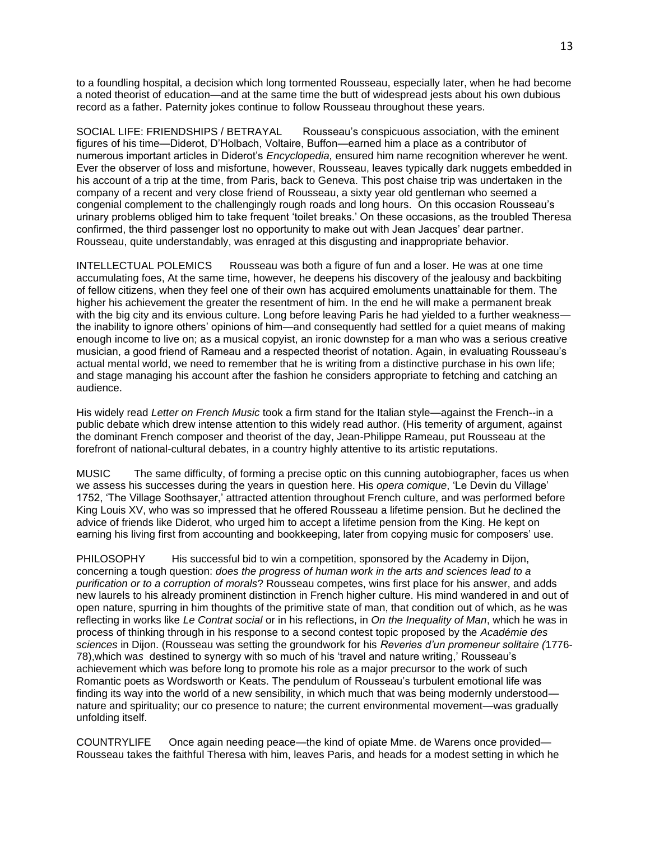to a foundling hospital, a decision which long tormented Rousseau, especially later, when he had become a noted theorist of education—and at the same time the butt of widespread jests about his own dubious record as a father. Paternity jokes continue to follow Rousseau throughout these years.

SOCIAL LIFE: FRIENDSHIPS / BETRAYAL Rousseau's conspicuous association, with the eminent figures of his time—Diderot, D'Holbach, Voltaire, Buffon—earned him a place as a contributor of numerous important articles in Diderot's *Encyclopedia,* ensured him name recognition wherever he went. Ever the observer of loss and misfortune, however, Rousseau, leaves typically dark nuggets embedded in his account of a trip at the time, from Paris, back to Geneva. This post chaise trip was undertaken in the company of a recent and very close friend of Rousseau, a sixty year old gentleman who seemed a congenial complement to the challengingly rough roads and long hours. On this occasion Rousseau's urinary problems obliged him to take frequent 'toilet breaks.' On these occasions, as the troubled Theresa confirmed, the third passenger lost no opportunity to make out with Jean Jacques' dear partner. Rousseau, quite understandably, was enraged at this disgusting and inappropriate behavior.

INTELLECTUAL POLEMICS Rousseau was both a figure of fun and a loser. He was at one time accumulating foes, At the same time, however, he deepens his discovery of the jealousy and backbiting of fellow citizens, when they feel one of their own has acquired emoluments unattainable for them. The higher his achievement the greater the resentment of him. In the end he will make a permanent break with the big city and its envious culture. Long before leaving Paris he had yielded to a further weaknessthe inability to ignore others' opinions of him—and consequently had settled for a quiet means of making enough income to live on; as a musical copyist, an ironic downstep for a man who was a serious creative musician, a good friend of Rameau and a respected theorist of notation. Again, in evaluating Rousseau's actual mental world, we need to remember that he is writing from a distinctive purchase in his own life; and stage managing his account after the fashion he considers appropriate to fetching and catching an audience.

His widely read *Letter on French Music* took a firm stand for the Italian style—against the French--in a public debate which drew intense attention to this widely read author. (His temerity of argument, against the dominant French composer and theorist of the day, Jean-Philippe Rameau, put Rousseau at the forefront of national-cultural debates, in a country highly attentive to its artistic reputations.

MUSIC The same difficulty, of forming a precise optic on this cunning autobiographer, faces us when we assess his successes during the years in question here. His *opera comique*, 'Le Devin du Village' 1752, 'The Village Soothsayer,' attracted attention throughout French culture, and was performed before King Louis XV, who was so impressed that he offered Rousseau a lifetime pension. But he declined the advice of friends like Diderot, who urged him to accept a lifetime pension from the King. He kept on earning his living first from accounting and bookkeeping, later from copying music for composers' use.

PHILOSOPHY His successful bid to win a competition, sponsored by the Academy in Dijon, concerning a tough question: *does the progress of human work in the arts and sciences lead to a purification or to a corruption of morals*? Rousseau competes, wins first place for his answer, and adds new laurels to his already prominent distinction in French higher culture. His mind wandered in and out of open nature, spurring in him thoughts of the primitive state of man, that condition out of which, as he was reflecting in works like *Le Contrat social* or in his reflections, in *On the Inequality of Man*, which he was in process of thinking through in his response to a second contest topic proposed by the *Académie des sciences* in Dijon. (Rousseau was setting the groundwork for his *Reveries d'un promeneur solitaire (*1776- 78),which wa*s* destined to synergy with so much of his 'travel and nature writing,' Rousseau's achievement which was before long to promote his role as a major precursor to the work of such Romantic poets as Wordsworth or Keats. The pendulum of Rousseau's turbulent emotional life was finding its way into the world of a new sensibility, in which much that was being modernly understood nature and spirituality; our co presence to nature; the current environmental movement—was gradually unfolding itself.

COUNTRYLIFE Once again needing peace—the kind of opiate Mme. de Warens once provided— Rousseau takes the faithful Theresa with him, leaves Paris, and heads for a modest setting in which he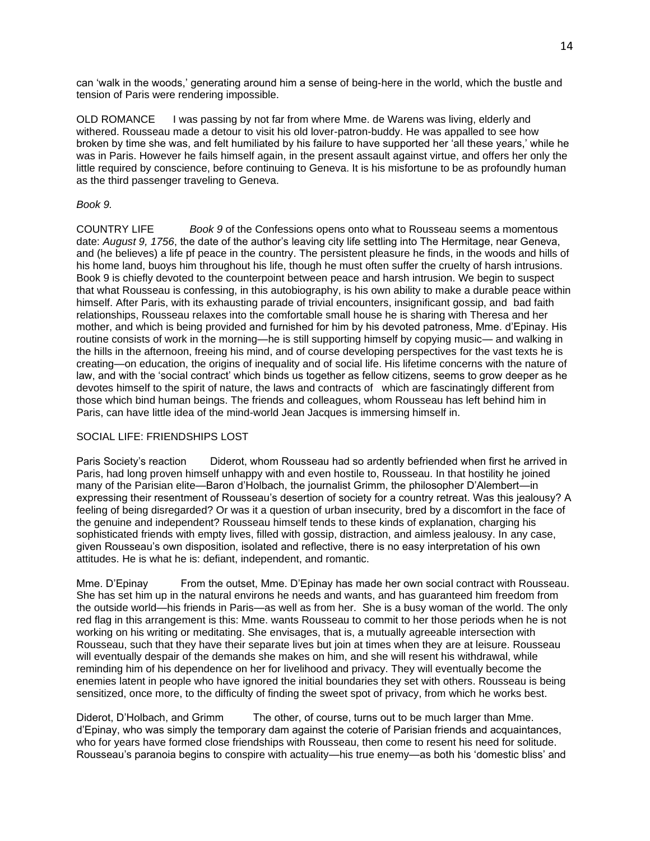can 'walk in the woods,' generating around him a sense of being-here in the world, which the bustle and tension of Paris were rendering impossible.

OLD ROMANCE I was passing by not far from where Mme. de Warens was living, elderly and withered. Rousseau made a detour to visit his old lover-patron-buddy. He was appalled to see how broken by time she was, and felt humiliated by his failure to have supported her 'all these years,' while he was in Paris. However he fails himself again, in the present assault against virtue, and offers her only the little required by conscience, before continuing to Geneva. It is his misfortune to be as profoundly human as the third passenger traveling to Geneva.

## *Book 9.*

COUNTRY LIFE *Book 9* of the Confessions opens onto what to Rousseau seems a momentous date: *August 9, 1756*, the date of the author's leaving city life settling into The Hermitage, near Geneva, and (he believes) a life pf peace in the country. The persistent pleasure he finds, in the woods and hills of his home land, buoys him throughout his life, though he must often suffer the cruelty of harsh intrusions. Book 9 is chiefly devoted to the counterpoint between peace and harsh intrusion. We begin to suspect that what Rousseau is confessing, in this autobiography, is his own ability to make a durable peace within himself. After Paris, with its exhausting parade of trivial encounters, insignificant gossip, and bad faith relationships, Rousseau relaxes into the comfortable small house he is sharing with Theresa and her mother, and which is being provided and furnished for him by his devoted patroness, Mme. d'Epinay. His routine consists of work in the morning—he is still supporting himself by copying music— and walking in the hills in the afternoon, freeing his mind, and of course developing perspectives for the vast texts he is creating—on education, the origins of inequality and of social life. His lifetime concerns with the nature of law, and with the 'social contract' which binds us together as fellow citizens, seems to grow deeper as he devotes himself to the spirit of nature, the laws and contracts of which are fascinatingly different from those which bind human beings. The friends and colleagues, whom Rousseau has left behind him in Paris, can have little idea of the mind-world Jean Jacques is immersing himself in.

#### SOCIAL LIFE: FRIENDSHIPS LOST

Paris Society's reaction Diderot, whom Rousseau had so ardently befriended when first he arrived in Paris, had long proven himself unhappy with and even hostile to, Rousseau. In that hostility he joined many of the Parisian elite—Baron d'Holbach, the journalist Grimm, the philosopher D'Alembert—in expressing their resentment of Rousseau's desertion of society for a country retreat. Was this jealousy? A feeling of being disregarded? Or was it a question of urban insecurity, bred by a discomfort in the face of the genuine and independent? Rousseau himself tends to these kinds of explanation, charging his sophisticated friends with empty lives, filled with gossip, distraction, and aimless jealousy. In any case, given Rousseau's own disposition, isolated and reflective, there is no easy interpretation of his own attitudes. He is what he is: defiant, independent, and romantic.

Mme. D'Epinay From the outset, Mme. D'Epinay has made her own social contract with Rousseau. She has set him up in the natural environs he needs and wants, and has guaranteed him freedom from the outside world—his friends in Paris—as well as from her. She is a busy woman of the world. The only red flag in this arrangement is this: Mme. wants Rousseau to commit to her those periods when he is not working on his writing or meditating. She envisages, that is, a mutually agreeable intersection with Rousseau, such that they have their separate lives but join at times when they are at leisure. Rousseau will eventually despair of the demands she makes on him, and she will resent his withdrawal, while reminding him of his dependence on her for livelihood and privacy. They will eventually become the enemies latent in people who have ignored the initial boundaries they set with others. Rousseau is being sensitized, once more, to the difficulty of finding the sweet spot of privacy, from which he works best.

Diderot, D'Holbach, and Grimm The other, of course, turns out to be much larger than Mme. d'Epinay, who was simply the temporary dam against the coterie of Parisian friends and acquaintances, who for years have formed close friendships with Rousseau, then come to resent his need for solitude. Rousseau's paranoia begins to conspire with actuality—his true enemy—as both his 'domestic bliss' and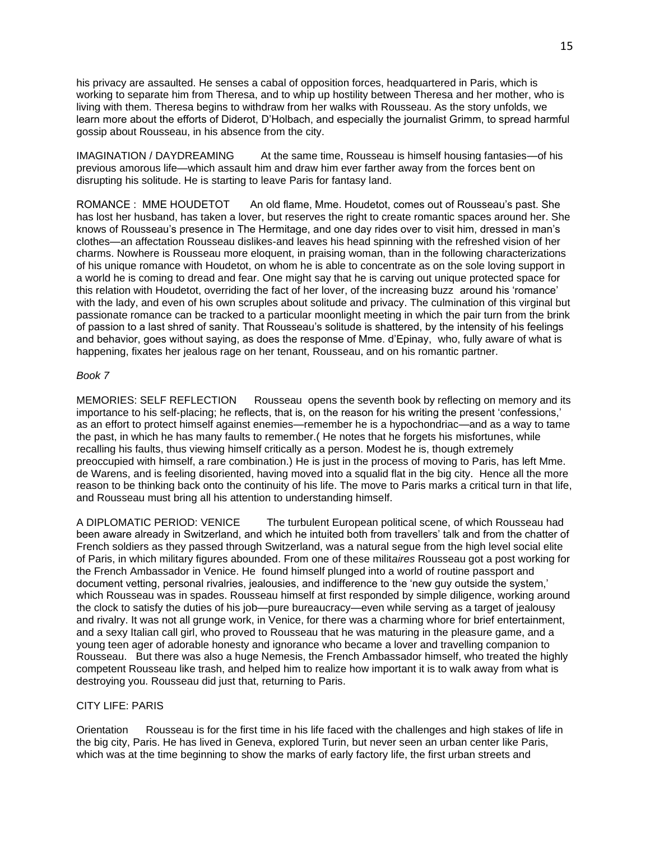his privacy are assaulted. He senses a cabal of opposition forces, headquartered in Paris, which is working to separate him from Theresa, and to whip up hostility between Theresa and her mother, who is living with them. Theresa begins to withdraw from her walks with Rousseau. As the story unfolds, we learn more about the efforts of Diderot, D'Holbach, and especially the journalist Grimm, to spread harmful gossip about Rousseau, in his absence from the city.

IMAGINATION / DAYDREAMING At the same time, Rousseau is himself housing fantasies—of his previous amorous life—which assault him and draw him ever farther away from the forces bent on disrupting his solitude. He is starting to leave Paris for fantasy land.

ROMANCE : MME HOUDETOT An old flame, Mme. Houdetot, comes out of Rousseau's past. She has lost her husband, has taken a lover, but reserves the right to create romantic spaces around her. She knows of Rousseau's presence in The Hermitage, and one day rides over to visit him, dressed in man's clothes—an affectation Rousseau dislikes-and leaves his head spinning with the refreshed vision of her charms. Nowhere is Rousseau more eloquent, in praising woman, than in the following characterizations of his unique romance with Houdetot, on whom he is able to concentrate as on the sole loving support in a world he is coming to dread and fear. One might say that he is carving out unique protected space for this relation with Houdetot, overriding the fact of her lover, of the increasing buzz around his 'romance' with the lady, and even of his own scruples about solitude and privacy. The culmination of this virginal but passionate romance can be tracked to a particular moonlight meeting in which the pair turn from the brink of passion to a last shred of sanity. That Rousseau's solitude is shattered, by the intensity of his feelings and behavior, goes without saying, as does the response of Mme. d'Epinay, who, fully aware of what is happening, fixates her jealous rage on her tenant, Rousseau, and on his romantic partner.

## *Book 7*

MEMORIES: SELF REFLECTION Rousseau opens the seventh book by reflecting on memory and its importance to his self-placing; he reflects, that is, on the reason for his writing the present 'confessions,' as an effort to protect himself against enemies—remember he is a hypochondriac—and as a way to tame the past, in which he has many faults to remember.( He notes that he forgets his misfortunes, while recalling his faults, thus viewing himself critically as a person. Modest he is, though extremely preoccupied with himself, a rare combination.) He is just in the process of moving to Paris, has left Mme. de Warens, and is feeling disoriented, having moved into a squalid flat in the big city. Hence all the more reason to be thinking back onto the continuity of his life. The move to Paris marks a critical turn in that life, and Rousseau must bring all his attention to understanding himself.

A DIPLOMATIC PERIOD: VENICE The turbulent European political scene, of which Rousseau had been aware already in Switzerland, and which he intuited both from travellers' talk and from the chatter of French soldiers as they passed through Switzerland, was a natural segue from the high level social elite of Paris, in which military figures abounded. From one of these milit*aires* Rousseau got a post working for the French Ambassador in Venice. He found himself plunged into a world of routine passport and document vetting, personal rivalries, jealousies, and indifference to the 'new guy outside the system,' which Rousseau was in spades. Rousseau himself at first responded by simple diligence, working around the clock to satisfy the duties of his job—pure bureaucracy—even while serving as a target of jealousy and rivalry. It was not all grunge work, in Venice, for there was a charming whore for brief entertainment, and a sexy Italian call girl, who proved to Rousseau that he was maturing in the pleasure game, and a young teen ager of adorable honesty and ignorance who became a lover and travelling companion to Rousseau. But there was also a huge Nemesis, the French Ambassador himself, who treated the highly competent Rousseau like trash, and helped him to realize how important it is to walk away from what is destroying you. Rousseau did just that, returning to Paris.

#### CITY LIFE: PARIS

Orientation Rousseau is for the first time in his life faced with the challenges and high stakes of life in the big city, Paris. He has lived in Geneva, explored Turin, but never seen an urban center like Paris, which was at the time beginning to show the marks of early factory life, the first urban streets and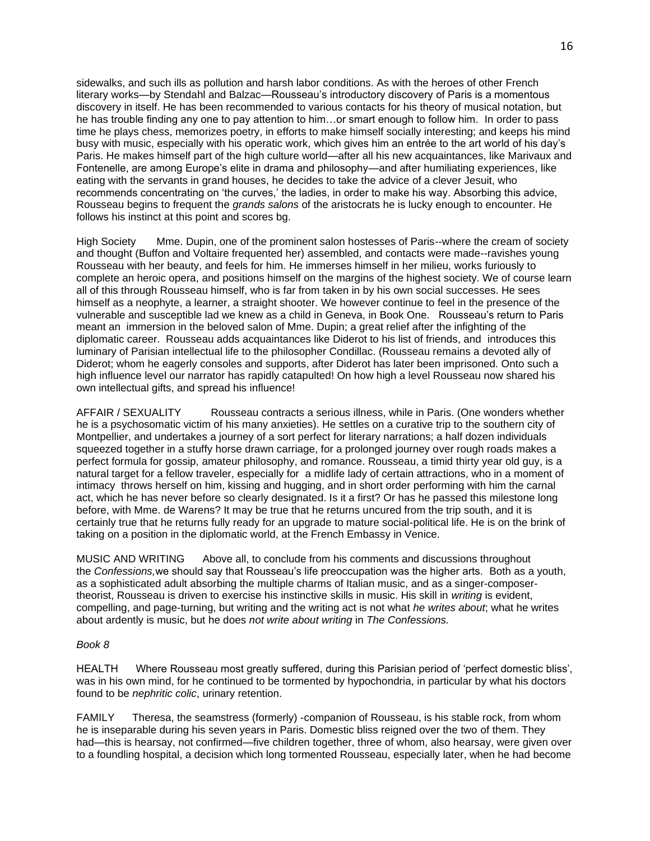sidewalks, and such ills as pollution and harsh labor conditions. As with the heroes of other French literary works—by Stendahl and Balzac—Rousseau's introductory discovery of Paris is a momentous discovery in itself. He has been recommended to various contacts for his theory of musical notation, but he has trouble finding any one to pay attention to him…or smart enough to follow him. In order to pass time he plays chess, memorizes poetry, in efforts to make himself socially interesting; and keeps his mind busy with music, especially with his operatic work, which gives him an entrée to the art world of his day's Paris. He makes himself part of the high culture world—after all his new acquaintances, like Marivaux and Fontenelle, are among Europe's elite in drama and philosophy—and after humiliating experiences, like eating with the servants in grand houses, he decides to take the advice of a clever Jesuit, who recommends concentrating on 'the curves,' the ladies, in order to make his way. Absorbing this advice, Rousseau begins to frequent the *grands salons* of the aristocrats he is lucky enough to encounter. He follows his instinct at this point and scores bg.

High Society Mme. Dupin, one of the prominent salon hostesses of Paris--where the cream of society and thought (Buffon and Voltaire frequented her) assembled, and contacts were made--ravishes young Rousseau with her beauty, and feels for him. He immerses himself in her milieu, works furiously to complete an heroic opera, and positions himself on the margins of the highest society. We of course learn all of this through Rousseau himself, who is far from taken in by his own social successes. He sees himself as a neophyte, a learner, a straight shooter. We however continue to feel in the presence of the vulnerable and susceptible lad we knew as a child in Geneva, in Book One. Rousseau's return to Paris meant an immersion in the beloved salon of Mme. Dupin; a great relief after the infighting of the diplomatic career. Rousseau adds acquaintances like Diderot to his list of friends, and introduces this luminary of Parisian intellectual life to the philosopher Condillac. (Rousseau remains a devoted ally of Diderot; whom he eagerly consoles and supports, after Diderot has later been imprisoned. Onto such a high influence level our narrator has rapidly catapulted! On how high a level Rousseau now shared his own intellectual gifts, and spread his influence!

AFFAIR / SEXUALITY Rousseau contracts a serious illness, while in Paris. (One wonders whether he is a psychosomatic victim of his many anxieties). He settles on a curative trip to the southern city of Montpellier, and undertakes a journey of a sort perfect for literary narrations; a half dozen individuals squeezed together in a stuffy horse drawn carriage, for a prolonged journey over rough roads makes a perfect formula for gossip, amateur philosophy, and romance. Rousseau, a timid thirty year old guy, is a natural target for a fellow traveler, especially for a midlife lady of certain attractions, who in a moment of intimacy throws herself on him, kissing and hugging, and in short order performing with him the carnal act, which he has never before so clearly designated. Is it a first? Or has he passed this milestone long before, with Mme. de Warens? It may be true that he returns uncured from the trip south, and it is certainly true that he returns fully ready for an upgrade to mature social-political life. He is on the brink of taking on a position in the diplomatic world, at the French Embassy in Venice.

MUSIC AND WRITING Above all, to conclude from his comments and discussions throughout the *Confessions,*we should say that Rousseau's life preoccupation was the higher arts. Both as a youth, as a sophisticated adult absorbing the multiple charms of Italian music, and as a singer-composertheorist, Rousseau is driven to exercise his instinctive skills in music. His skill in *writing* is evident, compelling, and page-turning, but writing and the writing act is not what *he writes about*; what he writes about ardently is music, but he does *not write about writing* in *The Confessions.*

#### *Book 8*

HEALTH Where Rousseau most greatly suffered, during this Parisian period of 'perfect domestic bliss', was in his own mind, for he continued to be tormented by hypochondria, in particular by what his doctors found to be *nephritic colic*, urinary retention.

FAMILY Theresa, the seamstress (formerly) -companion of Rousseau, is his stable rock, from whom he is inseparable during his seven years in Paris. Domestic bliss reigned over the two of them. They had—this is hearsay, not confirmed—five children together, three of whom, also hearsay, were given over to a foundling hospital, a decision which long tormented Rousseau, especially later, when he had become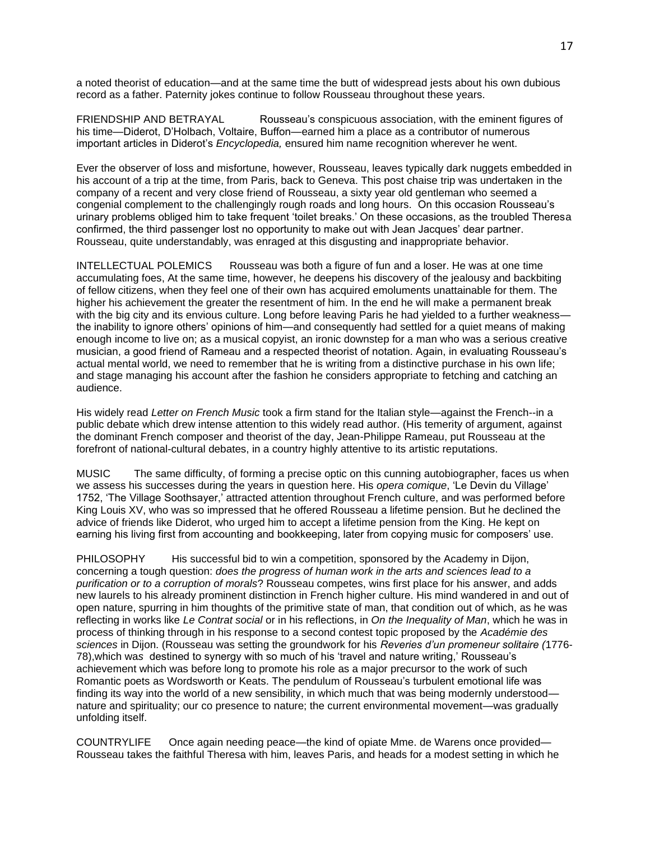a noted theorist of education—and at the same time the butt of widespread jests about his own dubious record as a father. Paternity jokes continue to follow Rousseau throughout these years.

FRIENDSHIP AND BETRAYAL Rousseau's conspicuous association, with the eminent figures of his time—Diderot, D'Holbach, Voltaire, Buffon—earned him a place as a contributor of numerous important articles in Diderot's *Encyclopedia,* ensured him name recognition wherever he went.

Ever the observer of loss and misfortune, however, Rousseau, leaves typically dark nuggets embedded in his account of a trip at the time, from Paris, back to Geneva. This post chaise trip was undertaken in the company of a recent and very close friend of Rousseau, a sixty year old gentleman who seemed a congenial complement to the challengingly rough roads and long hours. On this occasion Rousseau's urinary problems obliged him to take frequent 'toilet breaks.' On these occasions, as the troubled Theresa confirmed, the third passenger lost no opportunity to make out with Jean Jacques' dear partner. Rousseau, quite understandably, was enraged at this disgusting and inappropriate behavior.

INTELLECTUAL POLEMICS Rousseau was both a figure of fun and a loser. He was at one time accumulating foes, At the same time, however, he deepens his discovery of the jealousy and backbiting of fellow citizens, when they feel one of their own has acquired emoluments unattainable for them. The higher his achievement the greater the resentment of him. In the end he will make a permanent break with the big city and its envious culture. Long before leaving Paris he had yielded to a further weaknessthe inability to ignore others' opinions of him—and consequently had settled for a quiet means of making enough income to live on; as a musical copyist, an ironic downstep for a man who was a serious creative musician, a good friend of Rameau and a respected theorist of notation. Again, in evaluating Rousseau's actual mental world, we need to remember that he is writing from a distinctive purchase in his own life; and stage managing his account after the fashion he considers appropriate to fetching and catching an audience.

His widely read *Letter on French Music* took a firm stand for the Italian style—against the French--in a public debate which drew intense attention to this widely read author. (His temerity of argument, against the dominant French composer and theorist of the day, Jean-Philippe Rameau, put Rousseau at the forefront of national-cultural debates, in a country highly attentive to its artistic reputations.

MUSIC The same difficulty, of forming a precise optic on this cunning autobiographer, faces us when we assess his successes during the years in question here. His *opera comique*, 'Le Devin du Village' 1752, 'The Village Soothsayer,' attracted attention throughout French culture, and was performed before King Louis XV, who was so impressed that he offered Rousseau a lifetime pension. But he declined the advice of friends like Diderot, who urged him to accept a lifetime pension from the King. He kept on earning his living first from accounting and bookkeeping, later from copying music for composers' use.

PHILOSOPHY His successful bid to win a competition, sponsored by the Academy in Dijon, concerning a tough question: *does the progress of human work in the arts and sciences lead to a purification or to a corruption of morals*? Rousseau competes, wins first place for his answer, and adds new laurels to his already prominent distinction in French higher culture. His mind wandered in and out of open nature, spurring in him thoughts of the primitive state of man, that condition out of which, as he was reflecting in works like *Le Contrat social* or in his reflections, in *On the Inequality of Man*, which he was in process of thinking through in his response to a second contest topic proposed by the *Académie des sciences* in Dijon. (Rousseau was setting the groundwork for his *Reveries d'un promeneur solitaire (*1776- 78),which wa*s* destined to synergy with so much of his 'travel and nature writing,' Rousseau's achievement which was before long to promote his role as a major precursor to the work of such Romantic poets as Wordsworth or Keats. The pendulum of Rousseau's turbulent emotional life was finding its way into the world of a new sensibility, in which much that was being modernly understood nature and spirituality; our co presence to nature; the current environmental movement—was gradually unfolding itself.

COUNTRYLIFE Once again needing peace—the kind of opiate Mme. de Warens once provided— Rousseau takes the faithful Theresa with him, leaves Paris, and heads for a modest setting in which he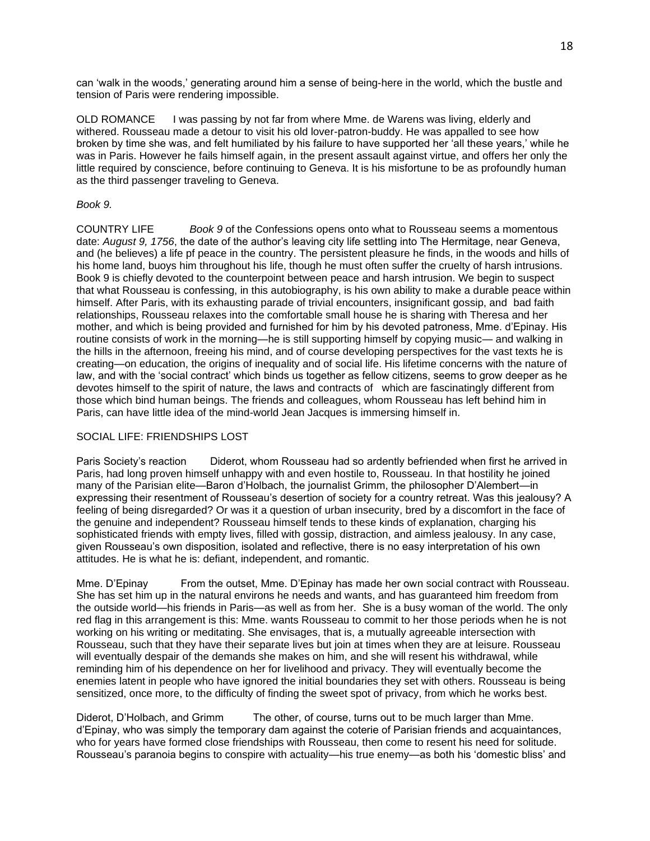can 'walk in the woods,' generating around him a sense of being-here in the world, which the bustle and tension of Paris were rendering impossible.

OLD ROMANCE I was passing by not far from where Mme. de Warens was living, elderly and withered. Rousseau made a detour to visit his old lover-patron-buddy. He was appalled to see how broken by time she was, and felt humiliated by his failure to have supported her 'all these years,' while he was in Paris. However he fails himself again, in the present assault against virtue, and offers her only the little required by conscience, before continuing to Geneva. It is his misfortune to be as profoundly human as the third passenger traveling to Geneva.

## *Book 9.*

COUNTRY LIFE *Book 9* of the Confessions opens onto what to Rousseau seems a momentous date: *August 9, 1756*, the date of the author's leaving city life settling into The Hermitage, near Geneva, and (he believes) a life pf peace in the country. The persistent pleasure he finds, in the woods and hills of his home land, buoys him throughout his life, though he must often suffer the cruelty of harsh intrusions. Book 9 is chiefly devoted to the counterpoint between peace and harsh intrusion. We begin to suspect that what Rousseau is confessing, in this autobiography, is his own ability to make a durable peace within himself. After Paris, with its exhausting parade of trivial encounters, insignificant gossip, and bad faith relationships, Rousseau relaxes into the comfortable small house he is sharing with Theresa and her mother, and which is being provided and furnished for him by his devoted patroness, Mme. d'Epinay. His routine consists of work in the morning—he is still supporting himself by copying music— and walking in the hills in the afternoon, freeing his mind, and of course developing perspectives for the vast texts he is creating—on education, the origins of inequality and of social life. His lifetime concerns with the nature of law, and with the 'social contract' which binds us together as fellow citizens, seems to grow deeper as he devotes himself to the spirit of nature, the laws and contracts of which are fascinatingly different from those which bind human beings. The friends and colleagues, whom Rousseau has left behind him in Paris, can have little idea of the mind-world Jean Jacques is immersing himself in.

#### SOCIAL LIFE: FRIENDSHIPS LOST

Paris Society's reaction Diderot, whom Rousseau had so ardently befriended when first he arrived in Paris, had long proven himself unhappy with and even hostile to, Rousseau. In that hostility he joined many of the Parisian elite—Baron d'Holbach, the journalist Grimm, the philosopher D'Alembert—in expressing their resentment of Rousseau's desertion of society for a country retreat. Was this jealousy? A feeling of being disregarded? Or was it a question of urban insecurity, bred by a discomfort in the face of the genuine and independent? Rousseau himself tends to these kinds of explanation, charging his sophisticated friends with empty lives, filled with gossip, distraction, and aimless jealousy. In any case, given Rousseau's own disposition, isolated and reflective, there is no easy interpretation of his own attitudes. He is what he is: defiant, independent, and romantic.

Mme. D'Epinay From the outset, Mme. D'Epinay has made her own social contract with Rousseau. She has set him up in the natural environs he needs and wants, and has guaranteed him freedom from the outside world—his friends in Paris—as well as from her. She is a busy woman of the world. The only red flag in this arrangement is this: Mme. wants Rousseau to commit to her those periods when he is not working on his writing or meditating. She envisages, that is, a mutually agreeable intersection with Rousseau, such that they have their separate lives but join at times when they are at leisure. Rousseau will eventually despair of the demands she makes on him, and she will resent his withdrawal, while reminding him of his dependence on her for livelihood and privacy. They will eventually become the enemies latent in people who have ignored the initial boundaries they set with others. Rousseau is being sensitized, once more, to the difficulty of finding the sweet spot of privacy, from which he works best.

Diderot, D'Holbach, and Grimm The other, of course, turns out to be much larger than Mme. d'Epinay, who was simply the temporary dam against the coterie of Parisian friends and acquaintances, who for years have formed close friendships with Rousseau, then come to resent his need for solitude. Rousseau's paranoia begins to conspire with actuality—his true enemy—as both his 'domestic bliss' and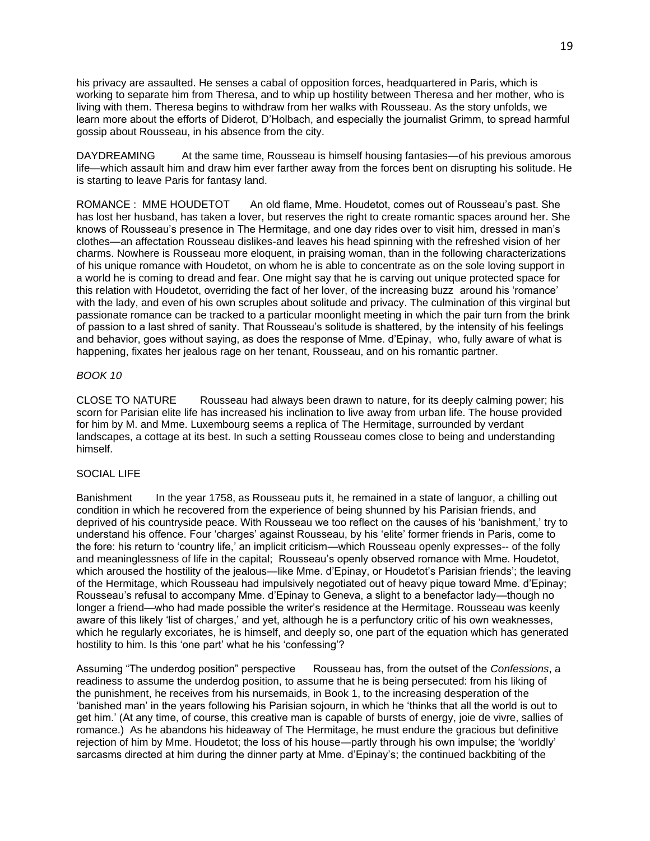his privacy are assaulted. He senses a cabal of opposition forces, headquartered in Paris, which is working to separate him from Theresa, and to whip up hostility between Theresa and her mother, who is living with them. Theresa begins to withdraw from her walks with Rousseau. As the story unfolds, we learn more about the efforts of Diderot, D'Holbach, and especially the journalist Grimm, to spread harmful gossip about Rousseau, in his absence from the city.

DAYDREAMING At the same time, Rousseau is himself housing fantasies—of his previous amorous life—which assault him and draw him ever farther away from the forces bent on disrupting his solitude. He is starting to leave Paris for fantasy land.

ROMANCE : MME HOUDETOT An old flame, Mme. Houdetot, comes out of Rousseau's past. She has lost her husband, has taken a lover, but reserves the right to create romantic spaces around her. She knows of Rousseau's presence in The Hermitage, and one day rides over to visit him, dressed in man's clothes—an affectation Rousseau dislikes-and leaves his head spinning with the refreshed vision of her charms. Nowhere is Rousseau more eloquent, in praising woman, than in the following characterizations of his unique romance with Houdetot, on whom he is able to concentrate as on the sole loving support in a world he is coming to dread and fear. One might say that he is carving out unique protected space for this relation with Houdetot, overriding the fact of her lover, of the increasing buzz around his 'romance' with the lady, and even of his own scruples about solitude and privacy. The culmination of this virginal but passionate romance can be tracked to a particular moonlight meeting in which the pair turn from the brink of passion to a last shred of sanity. That Rousseau's solitude is shattered, by the intensity of his feelings and behavior, goes without saying, as does the response of Mme. d'Epinay, who, fully aware of what is happening, fixates her jealous rage on her tenant, Rousseau, and on his romantic partner.

## *BOOK 10*

CLOSE TO NATURE Rousseau had always been drawn to nature, for its deeply calming power; his scorn for Parisian elite life has increased his inclination to live away from urban life. The house provided for him by M. and Mme. Luxembourg seems a replica of The Hermitage, surrounded by verdant landscapes, a cottage at its best. In such a setting Rousseau comes close to being and understanding himself.

## SOCIAL LIFE

Banishment In the year 1758, as Rousseau puts it, he remained in a state of languor, a chilling out condition in which he recovered from the experience of being shunned by his Parisian friends, and deprived of his countryside peace. With Rousseau we too reflect on the causes of his 'banishment,' try to understand his offence. Four 'charges' against Rousseau, by his 'elite' former friends in Paris, come to the fore: his return to 'country life,' an implicit criticism—which Rousseau openly expresses-- of the folly and meaninglessness of life in the capital; Rousseau's openly observed romance with Mme. Houdetot, which aroused the hostility of the jealous-like Mme. d'Epinay, or Houdetot's Parisian friends'; the leaving of the Hermitage, which Rousseau had impulsively negotiated out of heavy pique toward Mme. d'Epinay; Rousseau's refusal to accompany Mme. d'Epinay to Geneva, a slight to a benefactor lady—though no longer a friend—who had made possible the writer's residence at the Hermitage. Rousseau was keenly aware of this likely 'list of charges,' and yet, although he is a perfunctory critic of his own weaknesses, which he regularly excoriates, he is himself, and deeply so, one part of the equation which has generated hostility to him. Is this 'one part' what he his 'confessing'?

Assuming "The underdog position" perspective Rousseau has, from the outset of the *Confessions*, a readiness to assume the underdog position, to assume that he is being persecuted: from his liking of the punishment, he receives from his nursemaids, in Book 1, to the increasing desperation of the 'banished man' in the years following his Parisian sojourn, in which he 'thinks that all the world is out to get him.' (At any time, of course, this creative man is capable of bursts of energy, joie de vivre, sallies of romance.) As he abandons his hideaway of The Hermitage, he must endure the gracious but definitive rejection of him by Mme. Houdetot; the loss of his house—partly through his own impulse; the 'worldly' sarcasms directed at him during the dinner party at Mme. d'Epinay's; the continued backbiting of the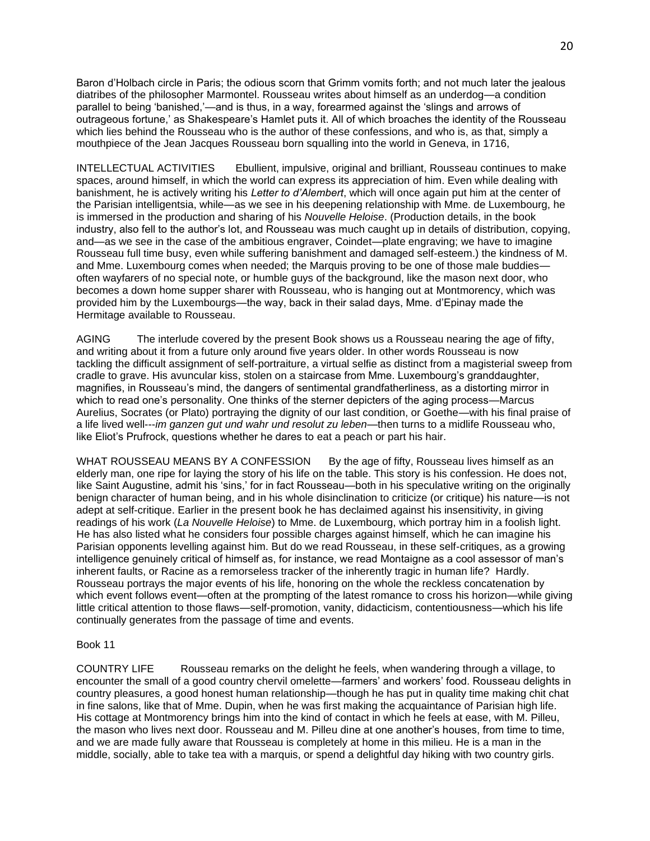Baron d'Holbach circle in Paris; the odious scorn that Grimm vomits forth; and not much later the jealous diatribes of the philosopher Marmontel. Rousseau writes about himself as an underdog—a condition parallel to being 'banished,'—and is thus, in a way, forearmed against the 'slings and arrows of outrageous fortune,' as Shakespeare's Hamlet puts it. All of which broaches the identity of the Rousseau which lies behind the Rousseau who is the author of these confessions, and who is, as that, simply a mouthpiece of the Jean Jacques Rousseau born squalling into the world in Geneva, in 1716,

INTELLECTUAL ACTIVITIES Ebullient, impulsive, original and brilliant, Rousseau continues to make spaces, around himself, in which the world can express its appreciation of him. Even while dealing with banishment, he is actively writing his *Letter to d'Alembert*, which will once again put him at the center of the Parisian intelligentsia, while—as we see in his deepening relationship with Mme. de Luxembourg, he is immersed in the production and sharing of his *Nouvelle Heloise*. (Production details, in the book industry, also fell to the author's lot, and Rousseau was much caught up in details of distribution, copying, and—as we see in the case of the ambitious engraver, Coindet—plate engraving; we have to imagine Rousseau full time busy, even while suffering banishment and damaged self-esteem.) the kindness of M. and Mme. Luxembourg comes when needed; the Marquis proving to be one of those male buddies often wayfarers of no special note, or humble guys of the background, like the mason next door, who becomes a down home supper sharer with Rousseau, who is hanging out at Montmorency, which was provided him by the Luxembourgs—the way, back in their salad days, Mme. d'Epinay made the Hermitage available to Rousseau.

AGING The interlude covered by the present Book shows us a Rousseau nearing the age of fifty, and writing about it from a future only around five years older. In other words Rousseau is now tackling the difficult assignment of self-portraiture, a virtual selfie as distinct from a magisterial sweep from cradle to grave. His avuncular kiss, stolen on a staircase from Mme. Luxembourg's granddaughter, magnifies, in Rousseau's mind, the dangers of sentimental grandfatherliness, as a distorting mirror in which to read one's personality. One thinks of the sterner depicters of the aging process—Marcus Aurelius, Socrates (or Plato) portraying the dignity of our last condition, or Goethe—with his final praise of a life lived well---*im ganzen gut und wahr und resolut zu leben*—then turns to a midlife Rousseau who, like Eliot's Prufrock, questions whether he dares to eat a peach or part his hair.

WHAT ROUSSEAU MEANS BY A CONFESSION By the age of fifty, Rousseau lives himself as an elderly man, one ripe for laying the story of his life on the table. This story is his confession. He does not, like Saint Augustine, admit his 'sins,' for in fact Rousseau—both in his speculative writing on the originally benign character of human being, and in his whole disinclination to criticize (or critique) his nature—is not adept at self-critique. Earlier in the present book he has declaimed against his insensitivity, in giving readings of his work (*La Nouvelle Heloise*) to Mme. de Luxembourg, which portray him in a foolish light. He has also listed what he considers four possible charges against himself, which he can imagine his Parisian opponents levelling against him. But do we read Rousseau, in these self-critiques, as a growing intelligence genuinely critical of himself as, for instance, we read Montaigne as a cool assessor of man's inherent faults, or Racine as a remorseless tracker of the inherently tragic in human life? Hardly. Rousseau portrays the major events of his life, honoring on the whole the reckless concatenation by which event follows event—often at the prompting of the latest romance to cross his horizon—while giving little critical attention to those flaws—self-promotion, vanity, didacticism, contentiousness—which his life continually generates from the passage of time and events.

#### Book 11

COUNTRY LIFE Rousseau remarks on the delight he feels, when wandering through a village, to encounter the small of a good country chervil omelette—farmers' and workers' food. Rousseau delights in country pleasures, a good honest human relationship—though he has put in quality time making chit chat in fine salons, like that of Mme. Dupin, when he was first making the acquaintance of Parisian high life. His cottage at Montmorency brings him into the kind of contact in which he feels at ease, with M. Pilleu, the mason who lives next door. Rousseau and M. Pilleu dine at one another's houses, from time to time, and we are made fully aware that Rousseau is completely at home in this milieu. He is a man in the middle, socially, able to take tea with a marquis, or spend a delightful day hiking with two country girls.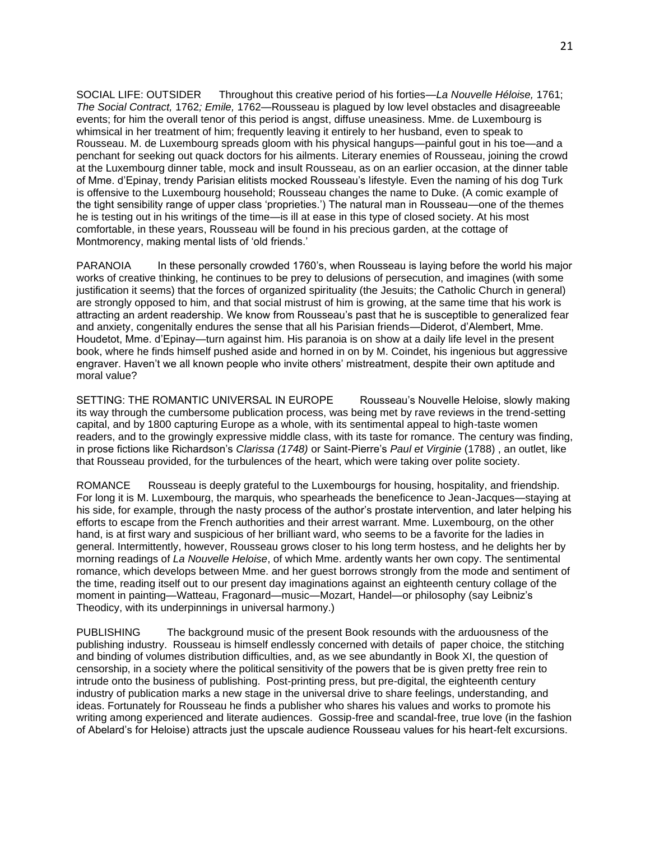SOCIAL LIFE: OUTSIDER Throughout this creative period of his forties—*La Nouvelle Héloise,* 1761; *The Social Contract,* 1762*; Emile,* 1762—Rousseau is plagued by low level obstacles and disagreeable events; for him the overall tenor of this period is angst, diffuse uneasiness. Mme. de Luxembourg is whimsical in her treatment of him; frequently leaving it entirely to her husband, even to speak to Rousseau. M. de Luxembourg spreads gloom with his physical hangups—painful gout in his toe—and a penchant for seeking out quack doctors for his ailments. Literary enemies of Rousseau, joining the crowd at the Luxembourg dinner table, mock and insult Rousseau, as on an earlier occasion, at the dinner table of Mme. d'Epinay, trendy Parisian elitists mocked Rousseau's lifestyle. Even the naming of his dog Turk is offensive to the Luxembourg household; Rousseau changes the name to Duke. (A comic example of the tight sensibility range of upper class 'proprieties.') The natural man in Rousseau—one of the themes he is testing out in his writings of the time—is ill at ease in this type of closed society. At his most comfortable, in these years, Rousseau will be found in his precious garden, at the cottage of Montmorency, making mental lists of 'old friends.'

PARANOIA In these personally crowded 1760's, when Rousseau is laying before the world his major works of creative thinking, he continues to be prey to delusions of persecution, and imagines (with some justification it seems) that the forces of organized spirituality (the Jesuits; the Catholic Church in general) are strongly opposed to him, and that social mistrust of him is growing, at the same time that his work is attracting an ardent readership. We know from Rousseau's past that he is susceptible to generalized fear and anxiety, congenitally endures the sense that all his Parisian friends—Diderot, d'Alembert, Mme. Houdetot, Mme. d'Epinay—turn against him. His paranoia is on show at a daily life level in the present book, where he finds himself pushed aside and horned in on by M. Coindet, his ingenious but aggressive engraver. Haven't we all known people who invite others' mistreatment, despite their own aptitude and moral value?

SETTING: THE ROMANTIC UNIVERSAL IN EUROPE Rousseau's Nouvelle Heloise, slowly making its way through the cumbersome publication process, was being met by rave reviews in the trend-setting capital, and by 1800 capturing Europe as a whole, with its sentimental appeal to high-taste women readers, and to the growingly expressive middle class, with its taste for romance. The century was finding, in prose fictions like Richardson's *Clarissa (1748)* or Saint-Pierre's *Paul et Virginie* (1788) , an outlet, like that Rousseau provided, for the turbulences of the heart, which were taking over polite society.

ROMANCE Rousseau is deeply grateful to the Luxembourgs for housing, hospitality, and friendship. For long it is M. Luxembourg, the marquis, who spearheads the beneficence to Jean-Jacques—staying at his side, for example, through the nasty process of the author's prostate intervention, and later helping his efforts to escape from the French authorities and their arrest warrant. Mme. Luxembourg, on the other hand, is at first wary and suspicious of her brilliant ward, who seems to be a favorite for the ladies in general. Intermittently, however, Rousseau grows closer to his long term hostess, and he delights her by morning readings of *La Nouvelle Heloise*, of which Mme. ardently wants her own copy. The sentimental romance, which develops between Mme. and her guest borrows strongly from the mode and sentiment of the time, reading itself out to our present day imaginations against an eighteenth century collage of the moment in painting—Watteau, Fragonard—music—Mozart, Handel—or philosophy (say Leibniz's Theodicy, with its underpinnings in universal harmony.)

PUBLISHING The background music of the present Book resounds with the arduousness of the publishing industry. Rousseau is himself endlessly concerned with details of paper choice, the stitching and binding of volumes distribution difficulties, and, as we see abundantly in Book XI, the question of censorship, in a society where the political sensitivity of the powers that be is given pretty free rein to intrude onto the business of publishing. Post-printing press, but pre-digital, the eighteenth century industry of publication marks a new stage in the universal drive to share feelings, understanding, and ideas. Fortunately for Rousseau he finds a publisher who shares his values and works to promote his writing among experienced and literate audiences. Gossip-free and scandal-free, true love (in the fashion of Abelard's for Heloise) attracts just the upscale audience Rousseau values for his heart-felt excursions.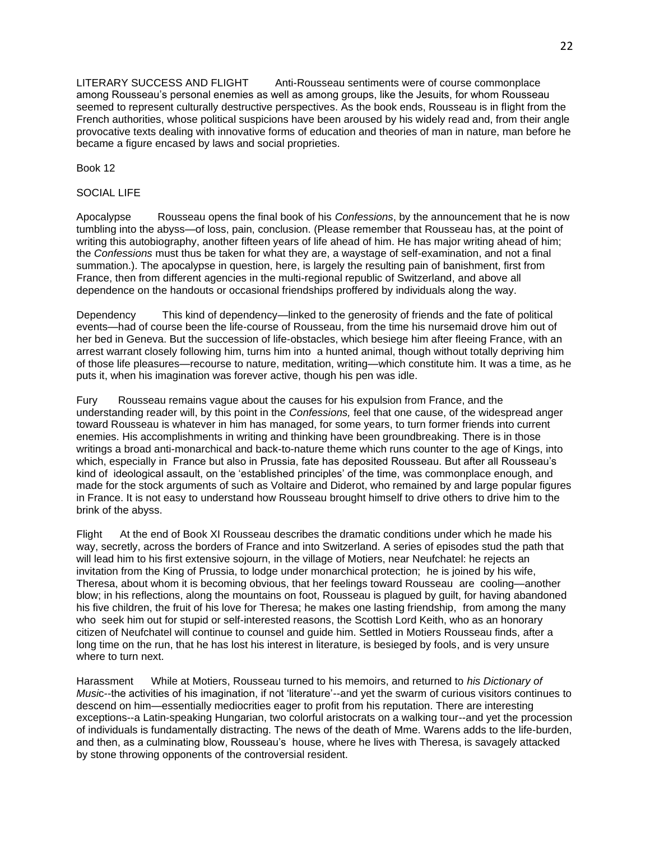LITERARY SUCCESS AND FLIGHT Anti-Rousseau sentiments were of course commonplace among Rousseau's personal enemies as well as among groups, like the Jesuits, for whom Rousseau seemed to represent culturally destructive perspectives. As the book ends, Rousseau is in flight from the French authorities, whose political suspicions have been aroused by his widely read and, from their angle provocative texts dealing with innovative forms of education and theories of man in nature, man before he became a figure encased by laws and social proprieties.

Book 12

# SOCIAL LIFE

Apocalypse Rousseau opens the final book of his *Confessions*, by the announcement that he is now tumbling into the abyss—of loss, pain, conclusion. (Please remember that Rousseau has, at the point of writing this autobiography, another fifteen years of life ahead of him. He has major writing ahead of him; the *Confessions* must thus be taken for what they are, a waystage of self-examination, and not a final summation.). The apocalypse in question, here, is largely the resulting pain of banishment, first from France, then from different agencies in the multi-regional republic of Switzerland, and above all dependence on the handouts or occasional friendships proffered by individuals along the way.

Dependency This kind of dependency—linked to the generosity of friends and the fate of political events—had of course been the life-course of Rousseau, from the time his nursemaid drove him out of her bed in Geneva. But the succession of life-obstacles, which besiege him after fleeing France, with an arrest warrant closely following him, turns him into a hunted animal, though without totally depriving him of those life pleasures—recourse to nature, meditation, writing—which constitute him. It was a time, as he puts it, when his imagination was forever active, though his pen was idle.

Fury Rousseau remains vague about the causes for his expulsion from France, and the understanding reader will, by this point in the *Confessions,* feel that one cause, of the widespread anger toward Rousseau is whatever in him has managed, for some years, to turn former friends into current enemies. His accomplishments in writing and thinking have been groundbreaking. There is in those writings a broad anti-monarchical and back-to-nature theme which runs counter to the age of Kings, into which, especially in France but also in Prussia, fate has deposited Rousseau. But after all Rousseau's kind of ideological assault, on the 'established principles' of the time, was commonplace enough, and made for the stock arguments of such as Voltaire and Diderot, who remained by and large popular figures in France. It is not easy to understand how Rousseau brought himself to drive others to drive him to the brink of the abyss.

Flight At the end of Book XI Rousseau describes the dramatic conditions under which he made his way, secretly, across the borders of France and into Switzerland. A series of episodes stud the path that will lead him to his first extensive sojourn, in the village of Motiers, near Neufchatel: he rejects an invitation from the King of Prussia, to lodge under monarchical protection; he is joined by his wife, Theresa, about whom it is becoming obvious, that her feelings toward Rousseau are cooling—another blow; in his reflections, along the mountains on foot, Rousseau is plagued by guilt, for having abandoned his five children, the fruit of his love for Theresa; he makes one lasting friendship, from among the many who seek him out for stupid or self-interested reasons, the Scottish Lord Keith, who as an honorary citizen of Neufchatel will continue to counsel and guide him. Settled in Motiers Rousseau finds, after a long time on the run, that he has lost his interest in literature, is besieged by fools, and is very unsure where to turn next.

Harassment While at Motiers, Rousseau turned to his memoirs, and returned to *his Dictionary of Musi*c--the activities of his imagination, if not 'literature'--and yet the swarm of curious visitors continues to descend on him—essentially mediocrities eager to profit from his reputation. There are interesting exceptions--a Latin-speaking Hungarian, two colorful aristocrats on a walking tour--and yet the procession of individuals is fundamentally distracting. The news of the death of Mme. Warens adds to the life-burden, and then, as a culminating blow, Rousseau's house, where he lives with Theresa, is savagely attacked by stone throwing opponents of the controversial resident.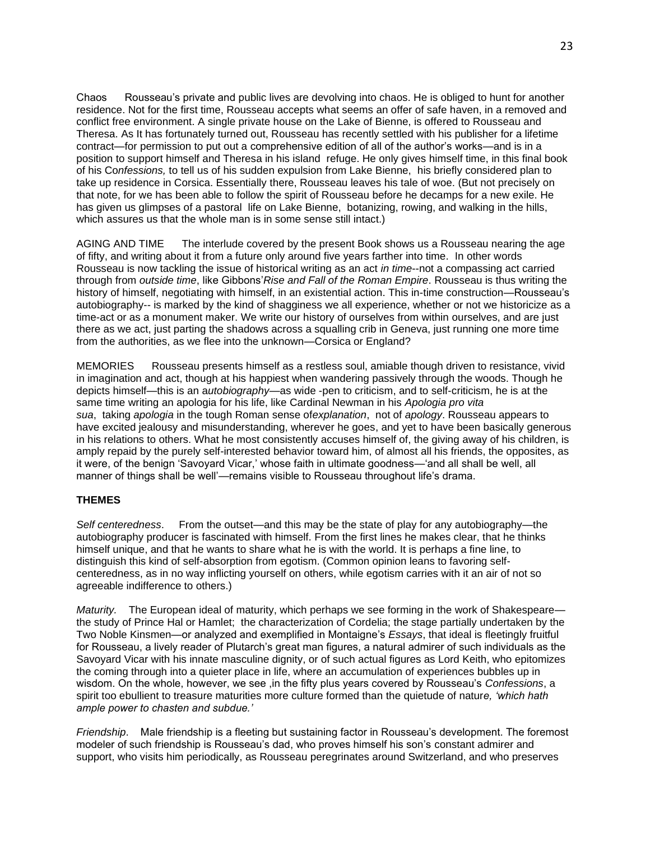Chaos Rousseau's private and public lives are devolving into chaos. He is obliged to hunt for another residence. Not for the first time, Rousseau accepts what seems an offer of safe haven, in a removed and conflict free environment. A single private house on the Lake of Bienne, is offered to Rousseau and Theresa. As It has fortunately turned out, Rousseau has recently settled with his publisher for a lifetime contract—for permission to put out a comprehensive edition of all of the author's works—and is in a position to support himself and Theresa in his island refuge. He only gives himself time, in this final book of his Co*nfessions,* to tell us of his sudden expulsion from Lake Bienne, his briefly considered plan to take up residence in Corsica. Essentially there, Rousseau leaves his tale of woe. (But not precisely on that note, for we has been able to follow the spirit of Rousseau before he decamps for a new exile. He has given us glimpses of a pastoral life on Lake Bienne, botanizing, rowing, and walking in the hills, which assures us that the whole man is in some sense still intact.)

AGING AND TIME The interlude covered by the present Book shows us a Rousseau nearing the age of fifty, and writing about it from a future only around five years farther into time. In other words Rousseau is now tackling the issue of historical writing as an act *in time*--not a compassing act carried through from *outside time*, like Gibbons'*Rise and Fall of the Roman Empire*. Rousseau is thus writing the history of himself, negotiating with himself, in an existential action. This in-time construction—Rousseau's autobiography-- is marked by the kind of shagginess we all experience, whether or not we historicize as a time-act or as a monument maker. We write our history of ourselves from within ourselves, and are just there as we act, just parting the shadows across a squalling crib in Geneva, just running one more time from the authorities, as we flee into the unknown—Corsica or England?

MEMORIES Rousseau presents himself as a restless soul, amiable though driven to resistance, vivid in imagination and act, though at his happiest when wandering passively through the woods. Though he depicts himself—this is an a*utobiography*—as wide -pen to criticism, and to self-criticism, he is at the same time writing an apologia for his life, like Cardinal Newman in his *Apologia pro vita sua*, taking *apologia* in the tough Roman sense of*explanation*, not of *apology*. Rousseau appears to have excited jealousy and misunderstanding, wherever he goes, and yet to have been basically generous in his relations to others. What he most consistently accuses himself of, the giving away of his children, is amply repaid by the purely self-interested behavior toward him, of almost all his friends, the opposites, as it were, of the benign 'Savoyard Vicar,' whose faith in ultimate goodness—'and all shall be well, all manner of things shall be well'—remains visible to Rousseau throughout life's drama.

## **THEMES**

*Self centeredness*. From the outset—and this may be the state of play for any autobiography—the autobiography producer is fascinated with himself. From the first lines he makes clear, that he thinks himself unique, and that he wants to share what he is with the world. It is perhaps a fine line, to distinguish this kind of self-absorption from egotism. (Common opinion leans to favoring selfcenteredness, as in no way inflicting yourself on others, while egotism carries with it an air of not so agreeable indifference to others.)

*Maturity.* The European ideal of maturity, which perhaps we see forming in the work of Shakespeare the study of Prince Hal or Hamlet; the characterization of Cordelia; the stage partially undertaken by the Two Noble Kinsmen—or analyzed and exemplified in Montaigne's *Essays*, that ideal is fleetingly fruitful for Rousseau, a lively reader of Plutarch's great man figures, a natural admirer of such individuals as the Savoyard Vicar with his innate masculine dignity, or of such actual figures as Lord Keith, who epitomizes the coming through into a quieter place in life, where an accumulation of experiences bubbles up in wisdom. On the whole, however, we see ,in the fifty plus years covered by Rousseau's *Confessions*, a spirit too ebullient to treasure maturities more culture formed than the quietude of natur*e, 'which hath ample power to chasten and subdue.'*

*Friendship*. Male friendship is a fleeting but sustaining factor in Rousseau's development. The foremost modeler of such friendship is Rousseau's dad, who proves himself his son's constant admirer and support, who visits him periodically, as Rousseau peregrinates around Switzerland, and who preserves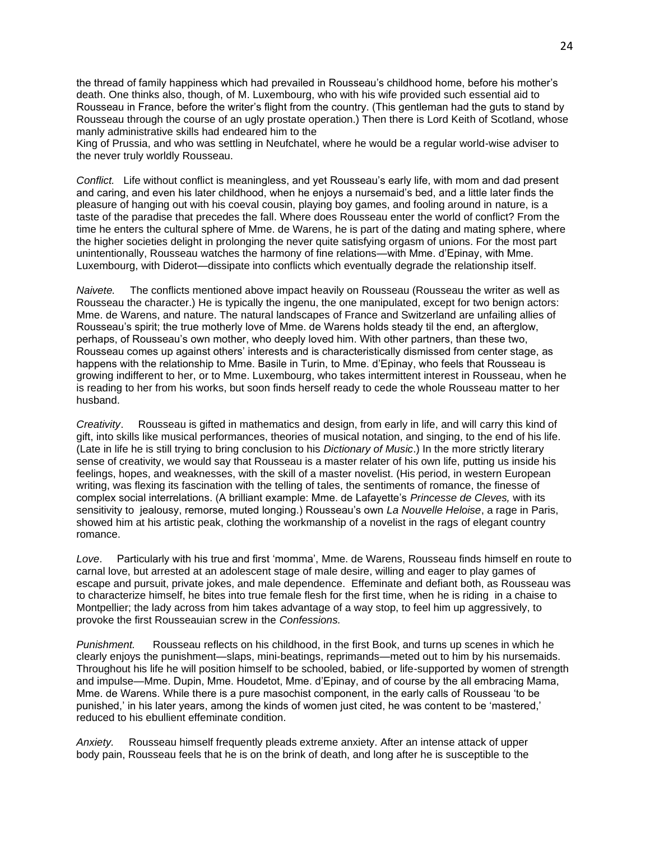the thread of family happiness which had prevailed in Rousseau's childhood home, before his mother's death. One thinks also, though, of M. Luxembourg, who with his wife provided such essential aid to Rousseau in France, before the writer's flight from the country. (This gentleman had the guts to stand by Rousseau through the course of an ugly prostate operation.) Then there is Lord Keith of Scotland, whose manly administrative skills had endeared him to the

King of Prussia, and who was settling in Neufchatel, where he would be a regular world-wise adviser to the never truly worldly Rousseau.

*Conflict.* Life without conflict is meaningless, and yet Rousseau's early life, with mom and dad present and caring, and even his later childhood, when he enjoys a nursemaid's bed, and a little later finds the pleasure of hanging out with his coeval cousin, playing boy games, and fooling around in nature, is a taste of the paradise that precedes the fall. Where does Rousseau enter the world of conflict? From the time he enters the cultural sphere of Mme. de Warens, he is part of the dating and mating sphere, where the higher societies delight in prolonging the never quite satisfying orgasm of unions. For the most part unintentionally, Rousseau watches the harmony of fine relations—with Mme. d'Epinay, with Mme. Luxembourg, with Diderot—dissipate into conflicts which eventually degrade the relationship itself.

*Naivete.* The conflicts mentioned above impact heavily on Rousseau (Rousseau the writer as well as Rousseau the character.) He is typically the ingenu, the one manipulated, except for two benign actors: Mme. de Warens, and nature. The natural landscapes of France and Switzerland are unfailing allies of Rousseau's spirit; the true motherly love of Mme. de Warens holds steady til the end, an afterglow, perhaps, of Rousseau's own mother, who deeply loved him. With other partners, than these two, Rousseau comes up against others' interests and is characteristically dismissed from center stage, as happens with the relationship to Mme. Basile in Turin, to Mme. d'Epinay, who feels that Rousseau is growing indifferent to her, or to Mme. Luxembourg, who takes intermittent interest in Rousseau, when he is reading to her from his works, but soon finds herself ready to cede the whole Rousseau matter to her husband.

*Creativity*. Rousseau is gifted in mathematics and design, from early in life, and will carry this kind of gift, into skills like musical performances, theories of musical notation, and singing, to the end of his life. (Late in life he is still trying to bring conclusion to his *Dictionary of Music*.) In the more strictly literary sense of creativity, we would say that Rousseau is a master relater of his own life, putting us inside his feelings, hopes, and weaknesses, with the skill of a master novelist. (His period, in western European writing, was flexing its fascination with the telling of tales, the sentiments of romance, the finesse of complex social interrelations. (A brilliant example: Mme. de Lafayette's *Princesse de Cleves,* with its sensitivity to jealousy, remorse, muted longing.) Rousseau's own *La Nouvelle Heloise*, a rage in Paris, showed him at his artistic peak, clothing the workmanship of a novelist in the rags of elegant country romance.

*Love*. Particularly with his true and first 'momma', Mme. de Warens, Rousseau finds himself en route to carnal love, but arrested at an adolescent stage of male desire, willing and eager to play games of escape and pursuit, private jokes, and male dependence. Effeminate and defiant both, as Rousseau was to characterize himself, he bites into true female flesh for the first time, when he is riding in a chaise to Montpellier; the lady across from him takes advantage of a way stop, to feel him up aggressively, to provoke the first Rousseauian screw in the *Confessions.*

*Punishment.* Rousseau reflects on his childhood, in the first Book, and turns up scenes in which he clearly enjoys the punishment—slaps, mini-beatings, reprimands—meted out to him by his nursemaids. Throughout his life he will position himself to be schooled, babied, or life-supported by women of strength and impulse—Mme. Dupin, Mme. Houdetot, Mme. d'Epinay, and of course by the all embracing Mama, Mme. de Warens. While there is a pure masochist component, in the early calls of Rousseau 'to be punished,' in his later years, among the kinds of women just cited, he was content to be 'mastered,' reduced to his ebullient effeminate condition.

*Anxiety.* Rousseau himself frequently pleads extreme anxiety. After an intense attack of upper body pain, Rousseau feels that he is on the brink of death, and long after he is susceptible to the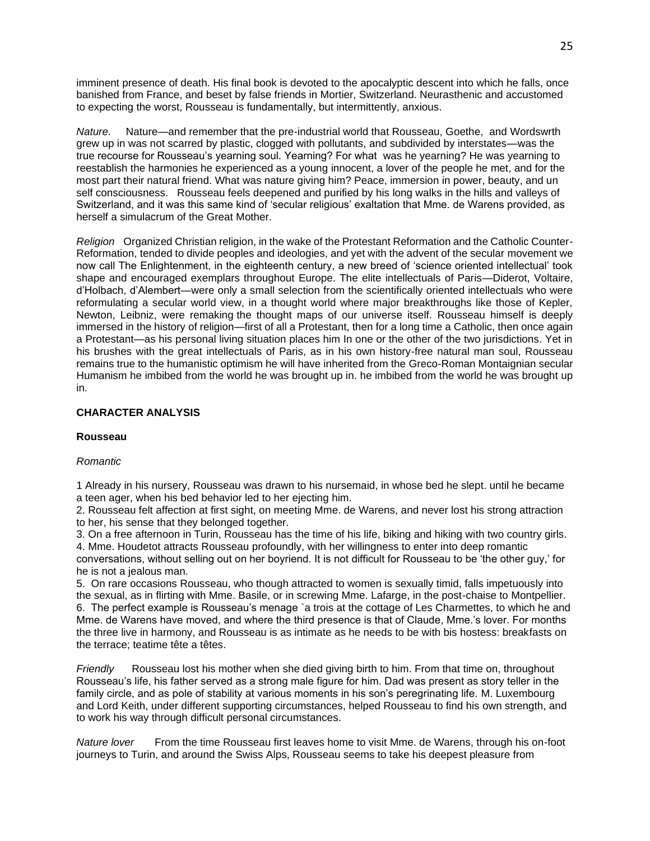imminent presence of death. His final book is devoted to the apocalyptic descent into which he falls, once banished from France, and beset by false friends in Mortier, Switzerland. Neurasthenic and accustomed to expecting the worst, Rousseau is fundamentally, but intermittently, anxious.

*Nature.* Nature—and remember that the pre-industrial world that Rousseau, Goethe, and Wordswrth grew up in was not scarred by plastic, clogged with pollutants, and subdivided by interstates—was the true recourse for Rousseau's yearning soul. Yearning? For what was he yearning? He was yearning to reestablish the harmonies he experienced as a young innocent, a lover of the people he met, and for the most part their natural friend. What was nature giving him? Peace, immersion in power, beauty, and un self consciousness. Rousseau feels deepened and purified by his long walks in the hills and valleys of Switzerland, and it was this same kind of 'secular religious' exaltation that Mme. de Warens provided, as herself a simulacrum of the Great Mother.

*Religion* Organized Christian religion, in the wake of the Protestant Reformation and the Catholic Counter-Reformation, tended to divide peoples and ideologies, and yet with the advent of the secular movement we now call The Enlightenment, in the eighteenth century, a new breed of 'science oriented intellectual' took shape and encouraged exemplars throughout Europe. The elite intellectuals of Paris—Diderot, Voltaire, d'Holbach, d'Alembert—were only a small selection from the scientifically oriented intellectuals who were reformulating a secular world view, in a thought world where major breakthroughs like those of Kepler, Newton, Leibniz, were remaking the thought maps of our universe itself. Rousseau himself is deeply immersed in the history of religion—first of all a Protestant, then for a long time a Catholic, then once again a Protestant—as his personal living situation places him In one or the other of the two jurisdictions. Yet in his brushes with the great intellectuals of Paris, as in his own history-free natural man soul, Rousseau remains true to the humanistic optimism he will have inherited from the Greco-Roman Montaignian secular Humanism he imbibed from the world he was brought up in. he imbibed from the world he was brought up in.

## **CHARACTER ANALYSIS**

## **Rousseau**

## *Romantic*

1 Already in his nursery, Rousseau was drawn to his nursemaid, in whose bed he slept. until he became a teen ager, when his bed behavior led to her ejecting him.

2. Rousseau felt affection at first sight, on meeting Mme. de Warens, and never lost his strong attraction to her, his sense that they belonged together.

3. On a free afternoon in Turin, Rousseau has the time of his life, biking and hiking with two country girls. 4. Mme. Houdetot attracts Rousseau profoundly, with her willingness to enter into deep romantic

conversations, without selling out on her boyriend. It is not difficult for Rousseau to be 'the other guy,' for he is not a jealous man.

5. On rare occasions Rousseau, who though attracted to women is sexually timid, falls impetuously into the sexual, as in flirting with Mme. Basile, or in screwing Mme. Lafarge, in the post-chaise to Montpellier. 6. The perfect example is Rousseau's menage `a trois at the cottage of Les Charmettes, to which he and Mme. de Warens have moved, and where the third presence is that of Claude, Mme.'s lover. For months the three live in harmony, and Rousseau is as intimate as he needs to be with bis hostess: breakfasts on the terrace; teatime tête a têtes.

*Friendly* Rousseau lost his mother when she died giving birth to him. From that time on, throughout Rousseau's life, his father served as a strong male figure for him. Dad was present as story teller in the family circle, and as pole of stability at various moments in his son's peregrinating life. M. Luxembourg and Lord Keith, under different supporting circumstances, helped Rousseau to find his own strength, and to work his way through difficult personal circumstances.

*Nature lover* From the time Rousseau first leaves home to visit Mme. de Warens, through his on-foot journeys to Turin, and around the Swiss Alps, Rousseau seems to take his deepest pleasure from